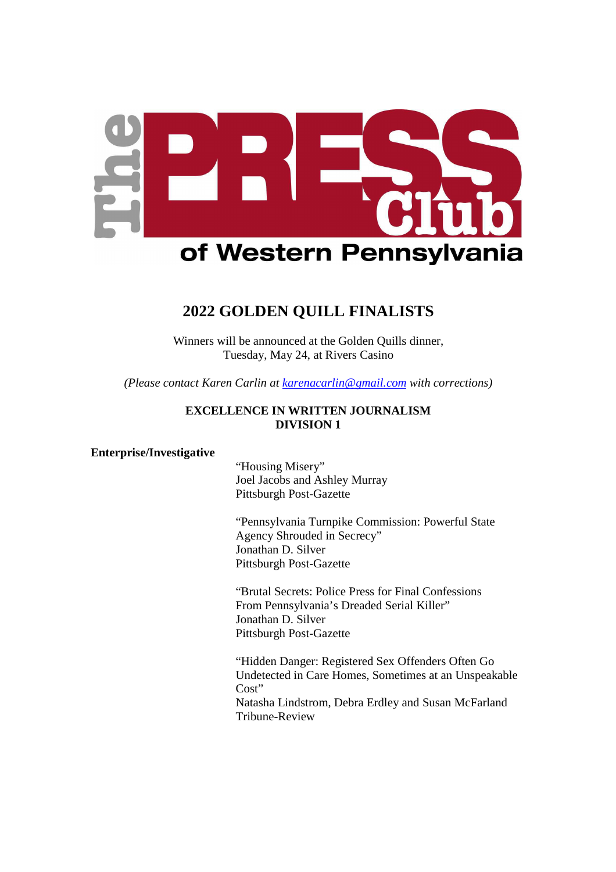

# **2022 GOLDEN QUILL FINALISTS**

Winners will be announced at the Golden Quills dinner, Tuesday, May 24, at Rivers Casino

*(Please contact Karen Carlin at karenacarlin@gmail.com with corrections)* 

# **EXCELLENCE IN WRITTEN JOURNALISM DIVISION 1**

#### **Enterprise/Investigative**

 "Housing Misery" Joel Jacobs and Ashley Murray Pittsburgh Post-Gazette

"Pennsylvania Turnpike Commission: Powerful State Agency Shrouded in Secrecy" Jonathan D. Silver Pittsburgh Post-Gazette

"Brutal Secrets: Police Press for Final Confessions From Pennsylvania's Dreaded Serial Killer" Jonathan D. Silver Pittsburgh Post-Gazette

"Hidden Danger: Registered Sex Offenders Often Go Undetected in Care Homes, Sometimes at an Unspeakable Cost" Natasha Lindstrom, Debra Erdley and Susan McFarland Tribune-Review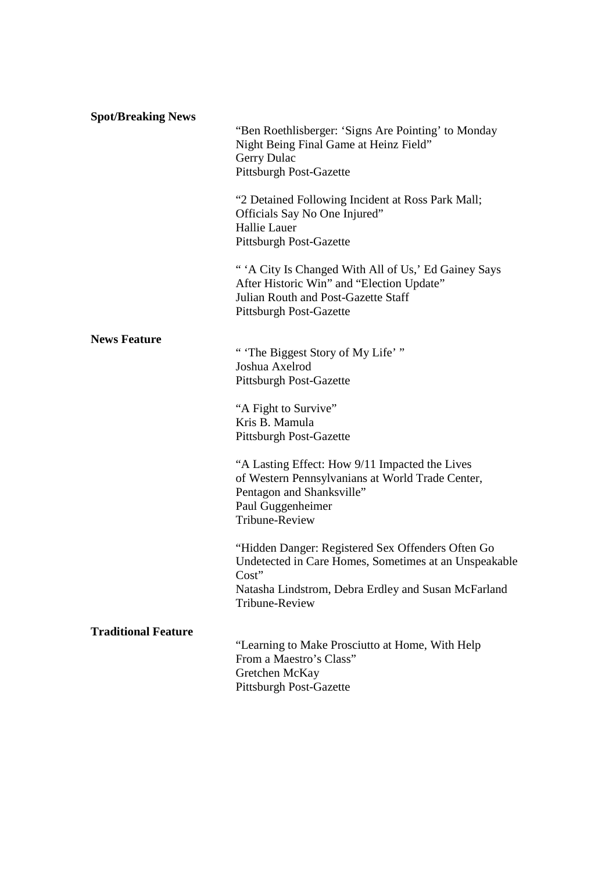| <b>Spot/Breaking News</b>  | "Ben Roethlisberger: 'Signs Are Pointing' to Monday<br>Night Being Final Game at Heinz Field"<br>Gerry Dulac<br>Pittsburgh Post-Gazette                                                      |
|----------------------------|----------------------------------------------------------------------------------------------------------------------------------------------------------------------------------------------|
|                            | "2 Detained Following Incident at Ross Park Mall;<br>Officials Say No One Injured"<br>Hallie Lauer<br><b>Pittsburgh Post-Gazette</b>                                                         |
|                            | "'A City Is Changed With All of Us,' Ed Gainey Says<br>After Historic Win" and "Election Update"<br>Julian Routh and Post-Gazette Staff<br><b>Pittsburgh Post-Gazette</b>                    |
| <b>News Feature</b>        |                                                                                                                                                                                              |
|                            | "The Biggest Story of My Life'"<br>Joshua Axelrod<br><b>Pittsburgh Post-Gazette</b>                                                                                                          |
|                            | "A Fight to Survive"<br>Kris B. Mamula<br><b>Pittsburgh Post-Gazette</b>                                                                                                                     |
|                            | "A Lasting Effect: How 9/11 Impacted the Lives<br>of Western Pennsylvanians at World Trade Center,<br>Pentagon and Shanksville"<br>Paul Guggenheimer<br>Tribune-Review                       |
|                            | "Hidden Danger: Registered Sex Offenders Often Go<br>Undetected in Care Homes, Sometimes at an Unspeakable<br>Cost"<br>Natasha Lindstrom, Debra Erdley and Susan McFarland<br>Tribune-Review |
| <b>Traditional Feature</b> |                                                                                                                                                                                              |
|                            | "Learning to Make Prosciutto at Home, With Help<br>From a Maestro's Class"<br>Gretchen McKay<br><b>Pittsburgh Post-Gazette</b>                                                               |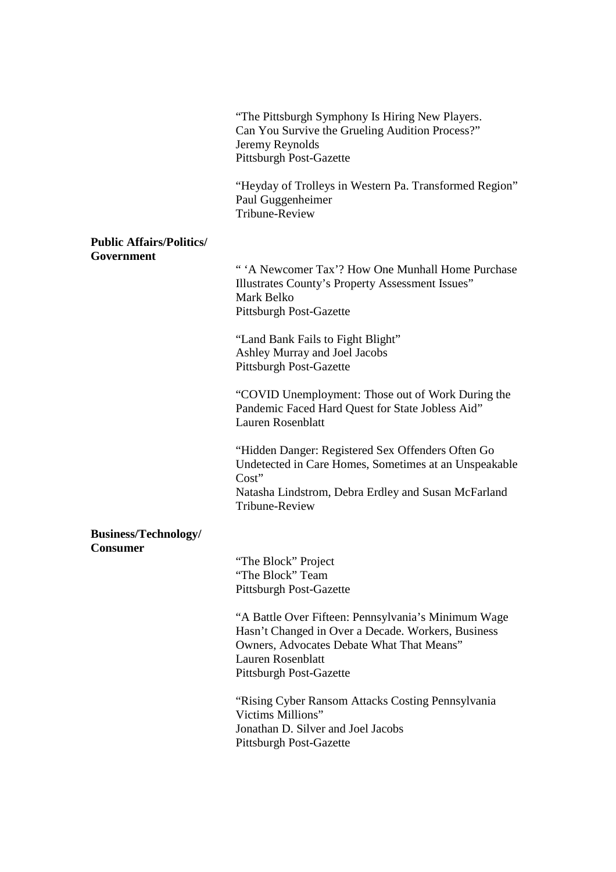|                                                | "The Pittsburgh Symphony Is Hiring New Players.<br>Can You Survive the Grueling Audition Process?"<br>Jeremy Reynolds<br><b>Pittsburgh Post-Gazette</b>                                                              |
|------------------------------------------------|----------------------------------------------------------------------------------------------------------------------------------------------------------------------------------------------------------------------|
|                                                | "Heyday of Trolleys in Western Pa. Transformed Region"<br>Paul Guggenheimer<br>Tribune-Review                                                                                                                        |
| <b>Public Affairs/Politics/</b><br>Government  |                                                                                                                                                                                                                      |
|                                                | "'A Newcomer Tax'? How One Munhall Home Purchase<br>Illustrates County's Property Assessment Issues"<br>Mark Belko<br>Pittsburgh Post-Gazette                                                                        |
|                                                | "Land Bank Fails to Fight Blight"<br>Ashley Murray and Joel Jacobs<br><b>Pittsburgh Post-Gazette</b>                                                                                                                 |
|                                                | "COVID Unemployment: Those out of Work During the<br>Pandemic Faced Hard Quest for State Jobless Aid"<br><b>Lauren Rosenblatt</b>                                                                                    |
|                                                | "Hidden Danger: Registered Sex Offenders Often Go<br>Undetected in Care Homes, Sometimes at an Unspeakable<br>Cost"<br>Natasha Lindstrom, Debra Erdley and Susan McFarland<br><b>Tribune-Review</b>                  |
| <b>Business/Technology/</b><br><b>Consumer</b> |                                                                                                                                                                                                                      |
|                                                | "The Block" Project<br>"The Block" Team<br><b>Pittsburgh Post-Gazette</b>                                                                                                                                            |
|                                                | "A Battle Over Fifteen: Pennsylvania's Minimum Wage<br>Hasn't Changed in Over a Decade. Workers, Business<br>Owners, Advocates Debate What That Means"<br><b>Lauren Rosenblatt</b><br><b>Pittsburgh Post-Gazette</b> |
|                                                | "Rising Cyber Ransom Attacks Costing Pennsylvania<br>Victims Millions"<br>Jonathan D. Silver and Joel Jacobs<br><b>Pittsburgh Post-Gazette</b>                                                                       |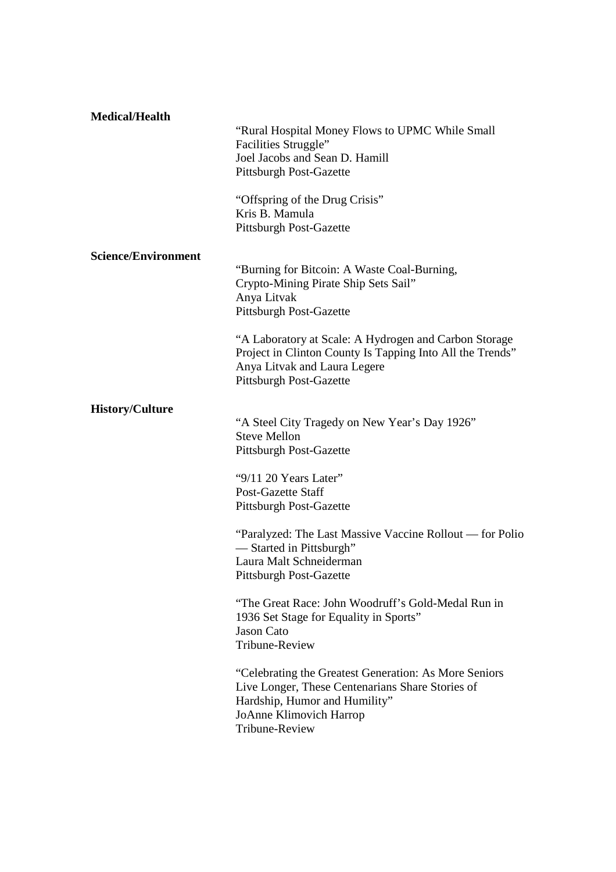| <b>Medical/Health</b>      | "Rural Hospital Money Flows to UPMC While Small"<br>Facilities Struggle"<br>Joel Jacobs and Sean D. Hamill<br><b>Pittsburgh Post-Gazette</b><br>"Offspring of the Drug Crisis"<br>Kris B. Mamula<br><b>Pittsburgh Post-Gazette</b> |
|----------------------------|------------------------------------------------------------------------------------------------------------------------------------------------------------------------------------------------------------------------------------|
| <b>Science/Environment</b> |                                                                                                                                                                                                                                    |
|                            | "Burning for Bitcoin: A Waste Coal-Burning,<br>Crypto-Mining Pirate Ship Sets Sail"<br>Anya Litvak<br><b>Pittsburgh Post-Gazette</b>                                                                                               |
|                            | "A Laboratory at Scale: A Hydrogen and Carbon Storage<br>Project in Clinton County Is Tapping Into All the Trends"<br>Anya Litvak and Laura Legere<br><b>Pittsburgh Post-Gazette</b>                                               |
| <b>History/Culture</b>     |                                                                                                                                                                                                                                    |
|                            | "A Steel City Tragedy on New Year's Day 1926"<br><b>Steve Mellon</b><br><b>Pittsburgh Post-Gazette</b>                                                                                                                             |
|                            | " $9/11$ 20 Years Later"<br>Post-Gazette Staff<br><b>Pittsburgh Post-Gazette</b>                                                                                                                                                   |
|                            | "Paralyzed: The Last Massive Vaccine Rollout — for Polio<br>-Started in Pittsburgh"<br>Laura Malt Schneiderman<br><b>Pittsburgh Post-Gazette</b>                                                                                   |
|                            | "The Great Race: John Woodruff's Gold-Medal Run in<br>1936 Set Stage for Equality in Sports"<br><b>Jason Cato</b><br>Tribune-Review                                                                                                |
|                            | "Celebrating the Greatest Generation: As More Seniors"<br>Live Longer, These Centenarians Share Stories of<br>Hardship, Humor and Humility"<br><b>JoAnne Klimovich Harrop</b><br>Tribune-Review                                    |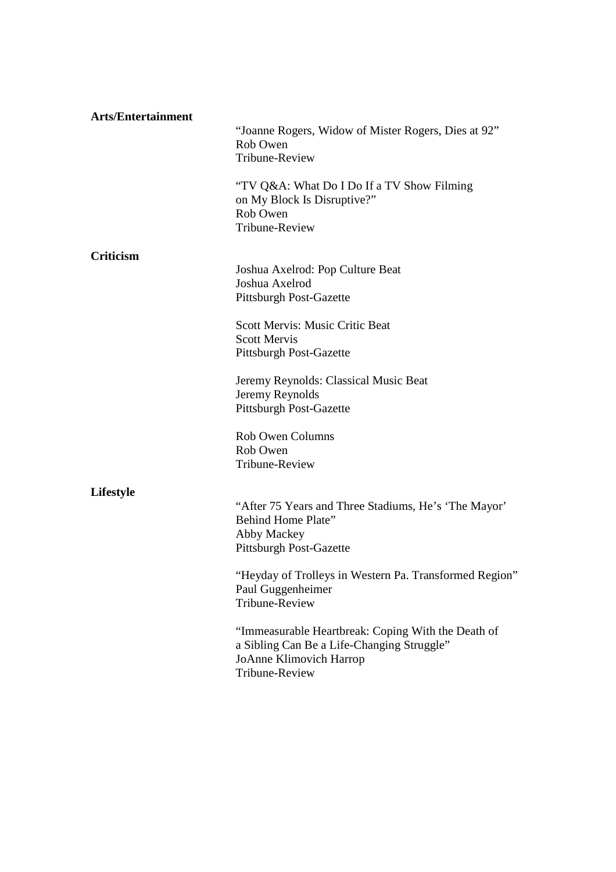| <b>Arts/Entertainment</b> | "Joanne Rogers, Widow of Mister Rogers, Dies at 92"<br>Rob Owen<br>Tribune-Review<br>"TV Q&A: What Do I Do If a TV Show Filming<br>on My Block Is Disruptive?"<br>Rob Owen<br>Tribune-Review                                                                                                           |
|---------------------------|--------------------------------------------------------------------------------------------------------------------------------------------------------------------------------------------------------------------------------------------------------------------------------------------------------|
| <b>Criticism</b>          | Joshua Axelrod: Pop Culture Beat<br>Joshua Axelrod<br>Pittsburgh Post-Gazette<br><b>Scott Mervis: Music Critic Beat</b><br><b>Scott Mervis</b><br>Pittsburgh Post-Gazette<br>Jeremy Reynolds: Classical Music Beat<br>Jeremy Reynolds                                                                  |
| Lifestyle                 | <b>Pittsburgh Post-Gazette</b><br>Rob Owen Columns<br>Rob Owen<br><b>Tribune-Review</b><br>"After 75 Years and Three Stadiums, He's 'The Mayor'<br>Behind Home Plate"                                                                                                                                  |
|                           | Abby Mackey<br><b>Pittsburgh Post-Gazette</b><br>"Heyday of Trolleys in Western Pa. Transformed Region"<br>Paul Guggenheimer<br>Tribune-Review<br>"Immeasurable Heartbreak: Coping With the Death of<br>a Sibling Can Be a Life-Changing Struggle"<br><b>JoAnne Klimovich Harrop</b><br>Tribune-Review |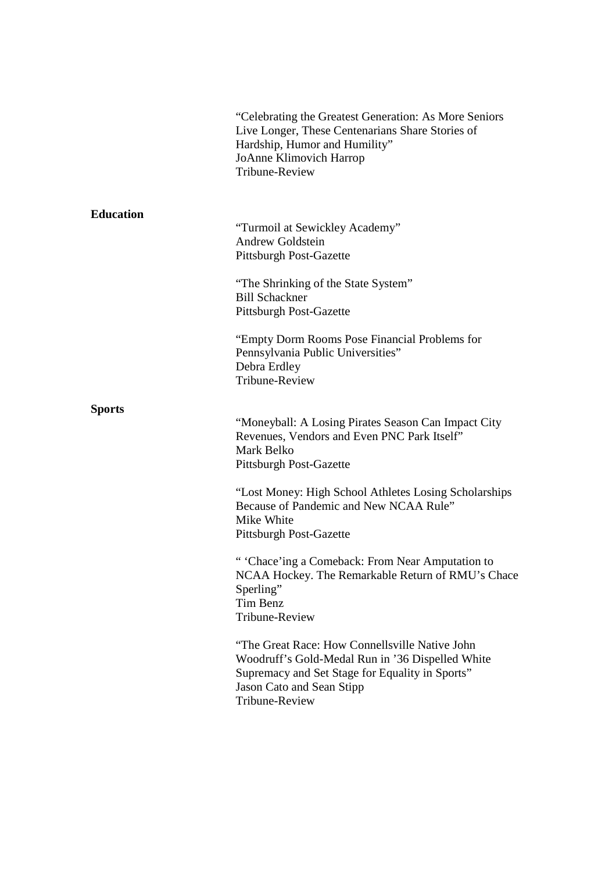|                  | "Celebrating the Greatest Generation: As More Seniors<br>Live Longer, These Centenarians Share Stories of<br>Hardship, Humor and Humility"<br>JoAnne Klimovich Harrop<br>Tribune-Review              |
|------------------|------------------------------------------------------------------------------------------------------------------------------------------------------------------------------------------------------|
| <b>Education</b> | "Turmoil at Sewickley Academy"<br><b>Andrew Goldstein</b><br>Pittsburgh Post-Gazette<br>"The Shrinking of the State System"<br><b>Bill Schackner</b><br>Pittsburgh Post-Gazette                      |
|                  | "Empty Dorm Rooms Pose Financial Problems for<br>Pennsylvania Public Universities"<br>Debra Erdley<br><b>Tribune-Review</b>                                                                          |
| <b>Sports</b>    | "Moneyball: A Losing Pirates Season Can Impact City<br>Revenues, Vendors and Even PNC Park Itself"<br>Mark Belko<br>Pittsburgh Post-Gazette                                                          |
|                  | "Lost Money: High School Athletes Losing Scholarships<br>Because of Pandemic and New NCAA Rule"<br>Mike White<br><b>Pittsburgh Post-Gazette</b>                                                      |
|                  | " 'Chace'ing a Comeback: From Near Amputation to<br>NCAA Hockey. The Remarkable Return of RMU's Chace<br>Sperling"<br>Tim Benz<br><b>Tribune-Review</b>                                              |
|                  | "The Great Race: How Connellsville Native John<br>Woodruff's Gold-Medal Run in '36 Dispelled White<br>Supremacy and Set Stage for Equality in Sports"<br>Jason Cato and Sean Stipp<br>Tribune-Review |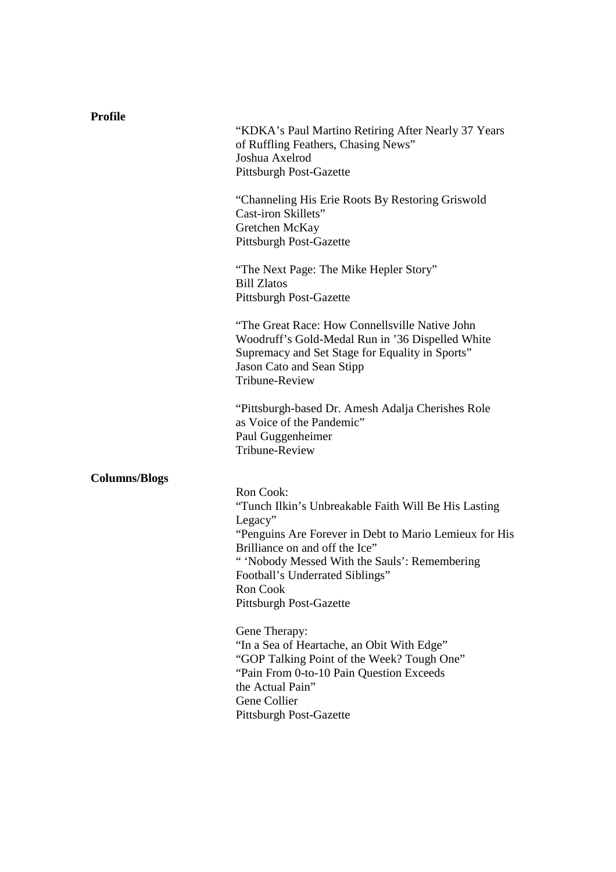| <b>Profile</b>       |                                                                                                                                                                                                                                                                                                            |
|----------------------|------------------------------------------------------------------------------------------------------------------------------------------------------------------------------------------------------------------------------------------------------------------------------------------------------------|
|                      | "KDKA's Paul Martino Retiring After Nearly 37 Years<br>of Ruffling Feathers, Chasing News"<br>Joshua Axelrod<br><b>Pittsburgh Post-Gazette</b>                                                                                                                                                             |
|                      | "Channeling His Erie Roots By Restoring Griswold<br>Cast-iron Skillets"<br>Gretchen McKay<br><b>Pittsburgh Post-Gazette</b>                                                                                                                                                                                |
|                      | "The Next Page: The Mike Hepler Story"<br><b>Bill Zlatos</b><br><b>Pittsburgh Post-Gazette</b>                                                                                                                                                                                                             |
|                      | "The Great Race: How Connellsville Native John<br>Woodruff's Gold-Medal Run in '36 Dispelled White<br>Supremacy and Set Stage for Equality in Sports"<br>Jason Cato and Sean Stipp<br><b>Tribune-Review</b>                                                                                                |
|                      | "Pittsburgh-based Dr. Amesh Adalja Cherishes Role<br>as Voice of the Pandemic"<br>Paul Guggenheimer<br>Tribune-Review                                                                                                                                                                                      |
| <b>Columns/Blogs</b> | Ron Cook:<br>"Tunch Ilkin's Unbreakable Faith Will Be His Lasting<br>Legacy"<br>"Penguins Are Forever in Debt to Mario Lemieux for His<br>Brilliance on and off the Ice"<br>" 'Nobody Messed With the Sauls': Remembering<br>Football's Underrated Siblings"<br><b>Ron Cook</b><br>Pittsburgh Post-Gazette |
|                      | Gene Therapy:<br>"In a Sea of Heartache, an Obit With Edge"<br>"GOP Talking Point of the Week? Tough One"<br>"Pain From 0-to-10 Pain Question Exceeds<br>the Actual Pain"<br>Gene Collier<br><b>Pittsburgh Post-Gazette</b>                                                                                |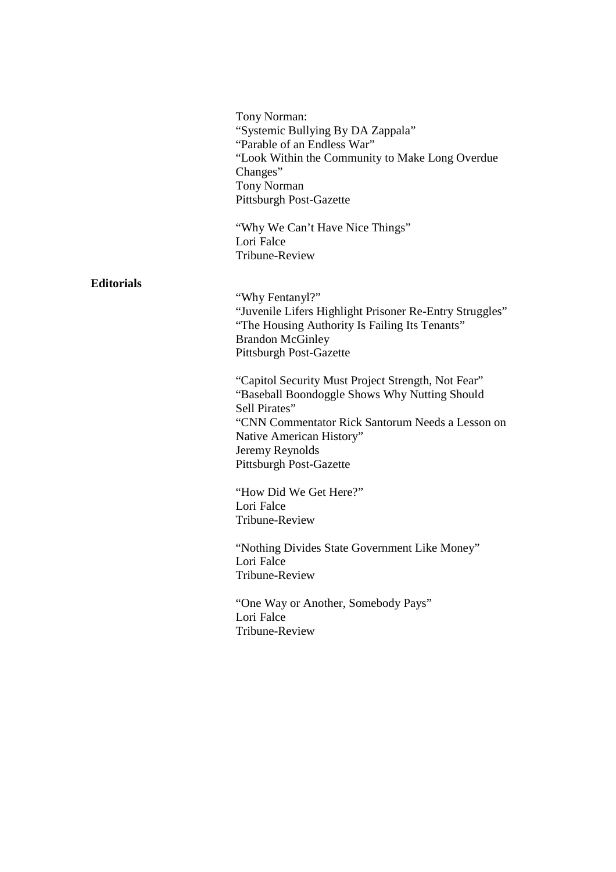Tony Norman: "Systemic Bullying By DA Zappala" "Parable of an Endless War" "Look Within the Community to Make Long Overdue Changes" Tony Norman Pittsburgh Post-Gazette

"Why We Can't Have Nice Things" Lori Falce Tribune-Review

# **Editorials**

"Why Fentanyl?" "Juvenile Lifers Highlight Prisoner Re-Entry Struggles" "The Housing Authority Is Failing Its Tenants" Brandon McGinley Pittsburgh Post-Gazette

"Capitol Security Must Project Strength, Not Fear" "Baseball Boondoggle Shows Why Nutting Should Sell Pirates" "CNN Commentator Rick Santorum Needs a Lesson on Native American History" Jeremy Reynolds Pittsburgh Post-Gazette

"How Did We Get Here?" Lori Falce Tribune-Review

 "Nothing Divides State Government Like Money" Lori Falce Tribune-Review

"One Way or Another, Somebody Pays" Lori Falce Tribune-Review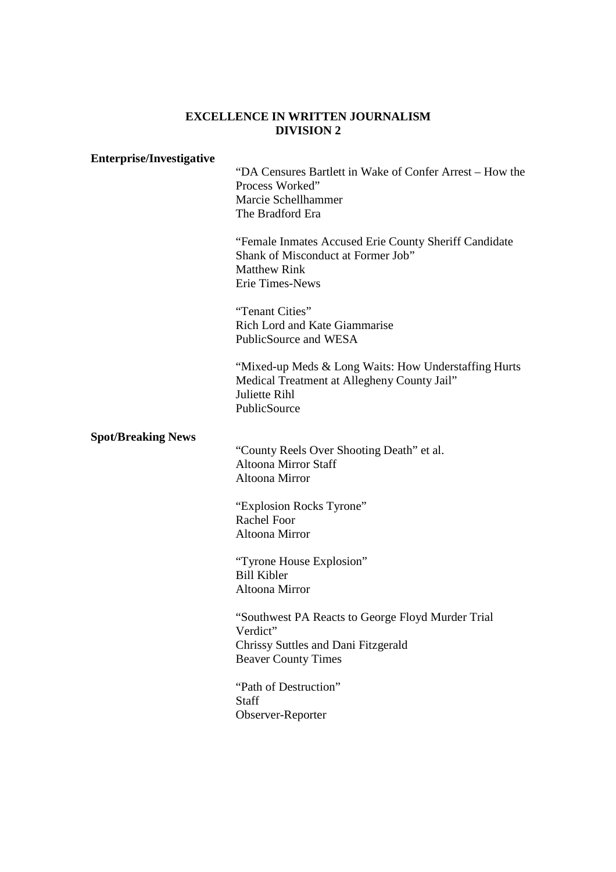#### **EXCELLENCE IN WRITTEN JOURNALISM DIVISION 2**

#### **Enterprise/Investigative**

"DA Censures Bartlett in Wake of Confer Arrest – How the Process Worked" Marcie Schellhammer The Bradford Era

"Female Inmates Accused Erie County Sheriff Candidate Shank of Misconduct at Former Job" Matthew Rink Erie Times-News

"Tenant Cities" Rich Lord and Kate Giammarise PublicSource and WESA

 "Mixed-up Meds & Long Waits: How Understaffing Hurts Medical Treatment at Allegheny County Jail" Juliette Rihl PublicSource

# **Spot/Breaking News**

"County Reels Over Shooting Death" et al. Altoona Mirror Staff Altoona Mirror

"Explosion Rocks Tyrone" Rachel Foor Altoona Mirror

"Tyrone House Explosion" Bill Kibler Altoona Mirror

"Southwest PA Reacts to George Floyd Murder Trial Verdict" Chrissy Suttles and Dani Fitzgerald Beaver County Times

"Path of Destruction" **Staff** Observer-Reporter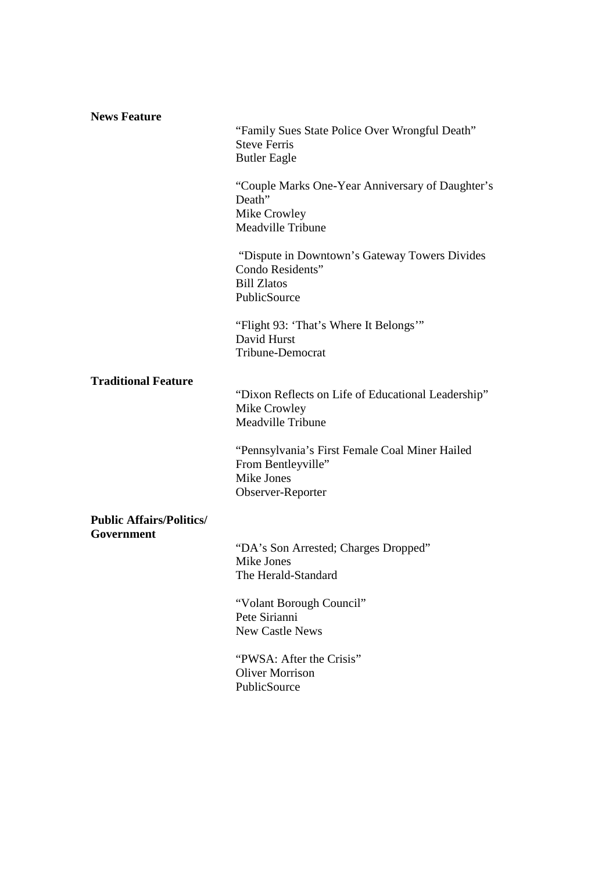| "Family Sues State Police Over Wrongful Death"<br><b>Steve Ferris</b><br><b>Butler Eagle</b>             |
|----------------------------------------------------------------------------------------------------------|
| "Couple Marks One-Year Anniversary of Daughter's<br>Death"<br>Mike Crowley<br>Meadville Tribune          |
| "Dispute in Downtown's Gateway Towers Divides"<br>Condo Residents"<br><b>Bill Zlatos</b><br>PublicSource |
| "Flight 93: 'That's Where It Belongs'"<br>David Hurst<br><b>Tribune-Democrat</b>                         |
| "Dixon Reflects on Life of Educational Leadership"<br>Mike Crowley<br><b>Meadville Tribune</b>           |
| "Pennsylvania's First Female Coal Miner Hailed<br>From Bentleyville"<br>Mike Jones<br>Observer-Reporter  |
|                                                                                                          |
| "DA's Son Arrested; Charges Dropped"<br>Mike Jones<br>The Herald-Standard                                |
| "Volant Borough Council"<br>Pete Sirianni<br><b>New Castle News</b>                                      |
| "PWSA: After the Crisis"<br><b>Oliver Morrison</b><br>PublicSource                                       |
|                                                                                                          |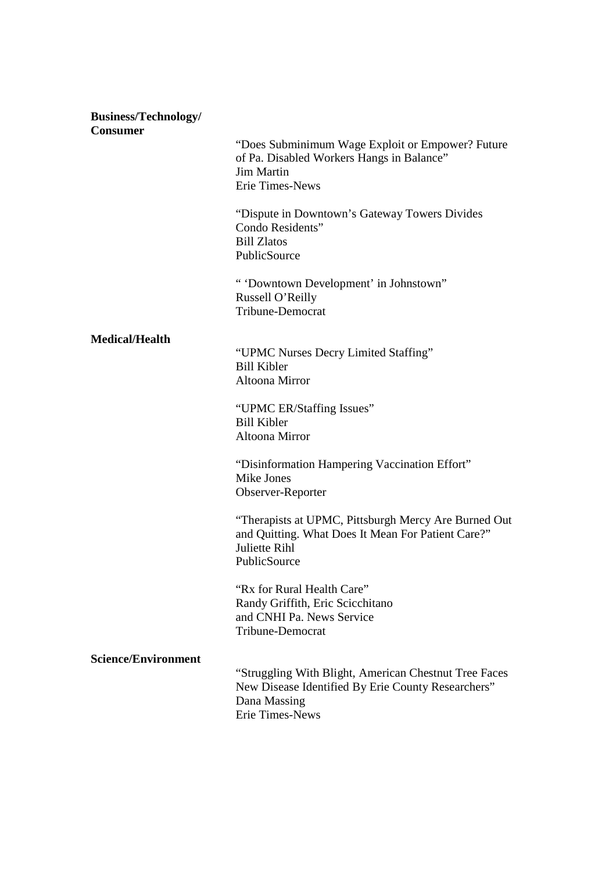| <b>Business/Technology/</b><br><b>Consumer</b> |                                                                                                                                                |
|------------------------------------------------|------------------------------------------------------------------------------------------------------------------------------------------------|
|                                                | "Does Subminimum Wage Exploit or Empower? Future<br>of Pa. Disabled Workers Hangs in Balance"<br><b>Jim Martin</b><br>Erie Times-News          |
|                                                | "Dispute in Downtown's Gateway Towers Divides"<br>Condo Residents"<br><b>Bill Zlatos</b><br>PublicSource                                       |
|                                                | " 'Downtown Development' in Johnstown"<br>Russell O'Reilly<br><b>Tribune-Democrat</b>                                                          |
| <b>Medical/Health</b>                          |                                                                                                                                                |
|                                                | "UPMC Nurses Decry Limited Staffing"<br><b>Bill Kibler</b><br>Altoona Mirror                                                                   |
|                                                | "UPMC ER/Staffing Issues"<br><b>Bill Kibler</b><br>Altoona Mirror                                                                              |
|                                                | "Disinformation Hampering Vaccination Effort"<br>Mike Jones<br>Observer-Reporter                                                               |
|                                                | "Therapists at UPMC, Pittsburgh Mercy Are Burned Out<br>and Quitting. What Does It Mean For Patient Care?"<br>Juliette Rihl<br>PublicSource    |
|                                                | "Rx for Rural Health Care"<br>Randy Griffith, Eric Scicchitano<br>and CNHI Pa. News Service<br><b>Tribune-Democrat</b>                         |
| <b>Science/Environment</b>                     | "Struggling With Blight, American Chestnut Tree Faces<br>New Disease Identified By Erie County Researchers"<br>Dana Massing<br>Erie Times-News |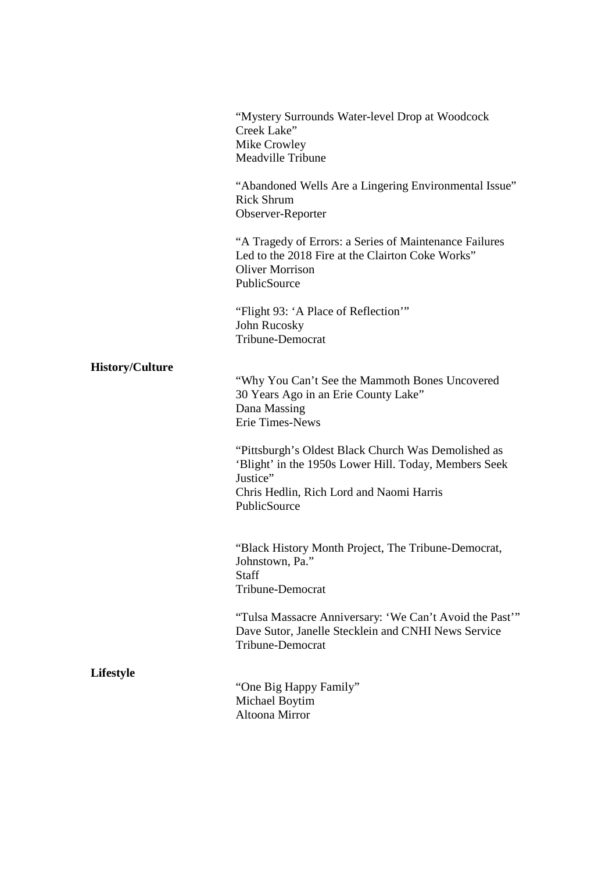|                        | "Mystery Surrounds Water-level Drop at Woodcock<br>Creek Lake"<br>Mike Crowley<br>Meadville Tribune                                                                                  |
|------------------------|--------------------------------------------------------------------------------------------------------------------------------------------------------------------------------------|
|                        | "Abandoned Wells Are a Lingering Environmental Issue"<br><b>Rick Shrum</b><br>Observer-Reporter                                                                                      |
|                        | "A Tragedy of Errors: a Series of Maintenance Failures<br>Led to the 2018 Fire at the Clairton Coke Works"<br><b>Oliver Morrison</b><br>PublicSource                                 |
|                        | "Flight 93: 'A Place of Reflection"<br>John Rucosky<br>Tribune-Democrat                                                                                                              |
| <b>History/Culture</b> | "Why You Can't See the Mammoth Bones Uncovered<br>30 Years Ago in an Erie County Lake"<br>Dana Massing<br><b>Erie Times-News</b>                                                     |
|                        | "Pittsburgh's Oldest Black Church Was Demolished as<br>'Blight' in the 1950s Lower Hill. Today, Members Seek<br>Justice"<br>Chris Hedlin, Rich Lord and Naomi Harris<br>PublicSource |
|                        | "Black History Month Project, The Tribune-Democrat,<br>Johnstown, Pa."<br>Staff<br>Tribune-Democrat                                                                                  |
|                        | "Tulsa Massacre Anniversary: 'We Can't Avoid the Past'"<br>Dave Sutor, Janelle Stecklein and CNHI News Service<br><b>Tribune-Democrat</b>                                            |
| <b>Lifestyle</b>       | "One Big Happy Family"<br>Michael Boytim<br>Altoona Mirror                                                                                                                           |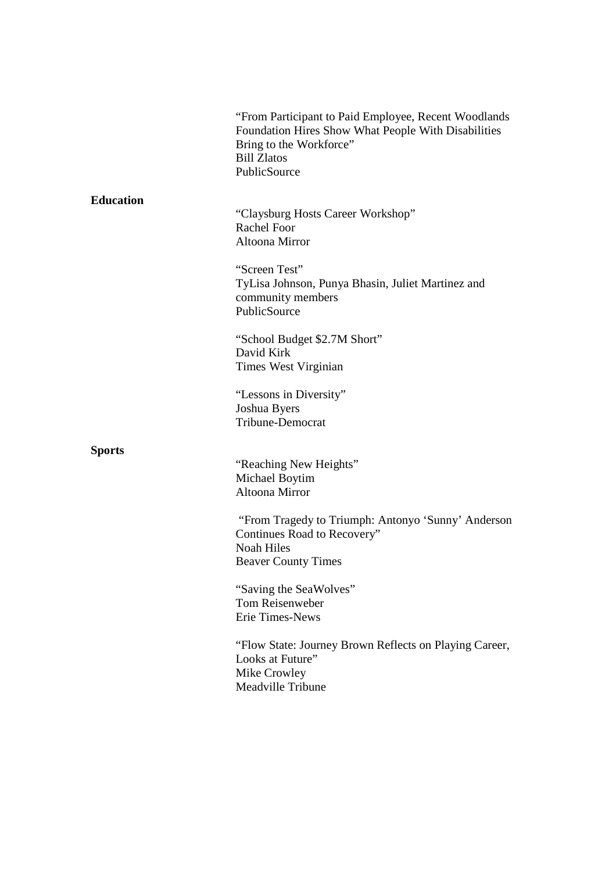|                  | "From Participant to Paid Employee, Recent Woodlands<br>Foundation Hires Show What People With Disabilities<br>Bring to the Workforce"<br><b>Bill Zlatos</b><br>PublicSource |
|------------------|------------------------------------------------------------------------------------------------------------------------------------------------------------------------------|
| <b>Education</b> | "Claysburg Hosts Career Workshop"<br><b>Rachel Foor</b><br>Altoona Mirror                                                                                                    |
|                  | "Screen Test"<br>TyLisa Johnson, Punya Bhasin, Juliet Martinez and<br>community members<br>PublicSource                                                                      |
|                  | "School Budget \$2.7M Short"<br>David Kirk<br>Times West Virginian                                                                                                           |
|                  | "Lessons in Diversity"<br>Joshua Byers<br>Tribune-Democrat                                                                                                                   |
| <b>Sports</b>    | "Reaching New Heights"<br>Michael Boytim<br>Altoona Mirror                                                                                                                   |
|                  | "From Tragedy to Triumph: Antonyo 'Sunny' Anderson<br>Continues Road to Recovery"<br><b>Noah Hiles</b><br><b>Beaver County Times</b>                                         |
|                  | "Saving the SeaWolves"<br>Tom Reisenweber<br>Erie Times-News                                                                                                                 |
|                  | "Flow State: Journey Brown Reflects on Playing Career,<br>Looks at Future"<br>Mike Crowley<br>Meadville Tribune                                                              |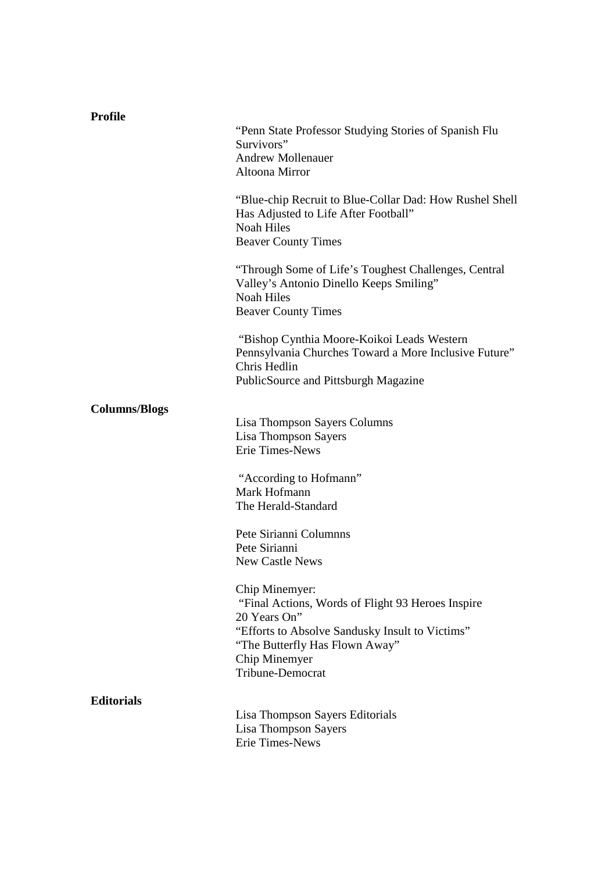| <b>Profile</b>       |                                                                                                                                                                                                               |
|----------------------|---------------------------------------------------------------------------------------------------------------------------------------------------------------------------------------------------------------|
|                      | "Penn State Professor Studying Stories of Spanish Flu<br>Survivors"<br><b>Andrew Mollenauer</b><br>Altoona Mirror                                                                                             |
|                      | "Blue-chip Recruit to Blue-Collar Dad: How Rushel Shell<br>Has Adjusted to Life After Football"<br><b>Noah Hiles</b><br><b>Beaver County Times</b>                                                            |
|                      | "Through Some of Life's Toughest Challenges, Central<br>Valley's Antonio Dinello Keeps Smiling"<br><b>Noah Hiles</b><br><b>Beaver County Times</b>                                                            |
|                      | "Bishop Cynthia Moore-Koikoi Leads Western<br>Pennsylvania Churches Toward a More Inclusive Future"<br>Chris Hedlin<br>PublicSource and Pittsburgh Magazine                                                   |
| <b>Columns/Blogs</b> | Lisa Thompson Sayers Columns<br>Lisa Thompson Sayers<br>Erie Times-News                                                                                                                                       |
|                      | "According to Hofmann"<br>Mark Hofmann<br>The Herald-Standard                                                                                                                                                 |
|                      | Pete Sirianni Columnns<br>Pete Sirianni<br><b>New Castle News</b>                                                                                                                                             |
|                      | Chip Minemyer:<br>"Final Actions, Words of Flight 93 Heroes Inspire<br>20 Years On"<br>"Efforts to Absolve Sandusky Insult to Victims"<br>"The Butterfly Has Flown Away"<br>Chip Minemyer<br>Tribune-Democrat |
| <b>Editorials</b>    | Lisa Thompson Sayers Editorials<br>Lisa Thompson Sayers<br>Erie Times-News                                                                                                                                    |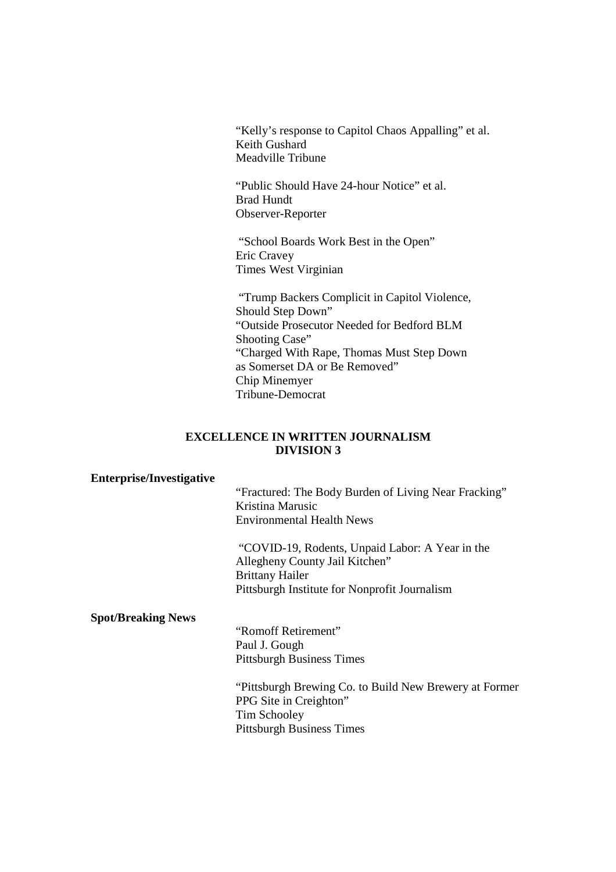"Kelly's response to Capitol Chaos Appalling" et al. Keith Gushard Meadville Tribune

"Public Should Have 24-hour Notice" et al. Brad Hundt Observer-Reporter

 "School Boards Work Best in the Open" Eric Cravey Times West Virginian

 "Trump Backers Complicit in Capitol Violence, Should Step Down" "Outside Prosecutor Needed for Bedford BLM Shooting Case" "Charged With Rape, Thomas Must Step Down as Somerset DA or Be Removed" Chip Minemyer Tribune-Democrat

#### **EXCELLENCE IN WRITTEN JOURNALISM DIVISION 3**

#### **Enterprise/Investigative**

 "Fractured: The Body Burden of Living Near Fracking" Kristina Marusic Environmental Health News

 "COVID-19, Rodents, Unpaid Labor: A Year in the Allegheny County Jail Kitchen" Brittany Hailer Pittsburgh Institute for Nonprofit Journalism

#### **Spot/Breaking News**

"Romoff Retirement" Paul J. Gough Pittsburgh Business Times

 "Pittsburgh Brewing Co. to Build New Brewery at Former PPG Site in Creighton" Tim Schooley Pittsburgh Business Times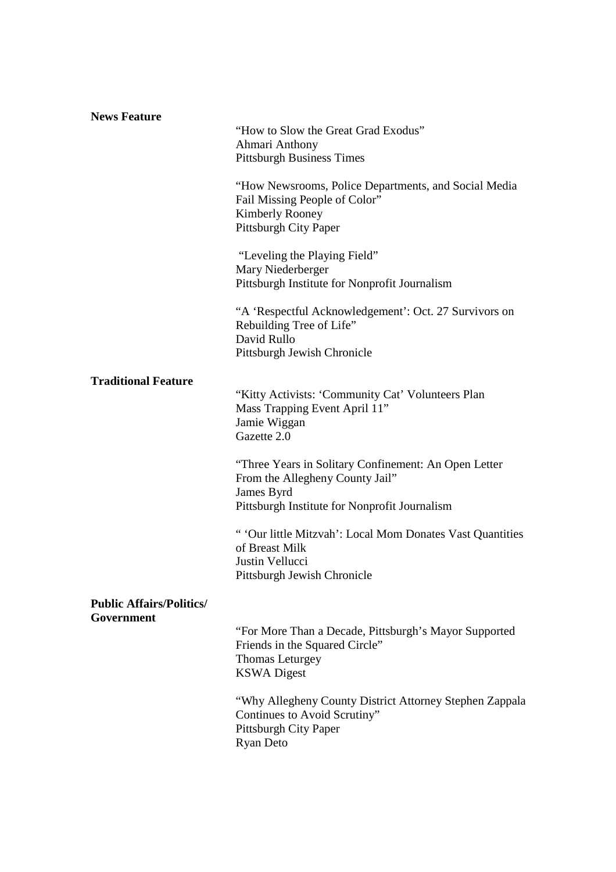| <b>News Feature</b>                           | "How to Slow the Great Grad Exodus"<br>Ahmari Anthony<br><b>Pittsburgh Business Times</b><br>"How Newsrooms, Police Departments, and Social Media<br>Fail Missing People of Color"<br><b>Kimberly Rooney</b><br>Pittsburgh City Paper |
|-----------------------------------------------|---------------------------------------------------------------------------------------------------------------------------------------------------------------------------------------------------------------------------------------|
|                                               | "Leveling the Playing Field"<br>Mary Niederberger<br>Pittsburgh Institute for Nonprofit Journalism                                                                                                                                    |
|                                               | "A 'Respectful Acknowledgement': Oct. 27 Survivors on<br>Rebuilding Tree of Life"<br>David Rullo<br>Pittsburgh Jewish Chronicle                                                                                                       |
| <b>Traditional Feature</b>                    | "Kitty Activists: 'Community Cat' Volunteers Plan<br>Mass Trapping Event April 11"<br>Jamie Wiggan<br>Gazette 2.0                                                                                                                     |
|                                               | "Three Years in Solitary Confinement: An Open Letter<br>From the Allegheny County Jail"<br>James Byrd<br>Pittsburgh Institute for Nonprofit Journalism                                                                                |
|                                               | " 'Our little Mitzvah': Local Mom Donates Vast Quantities<br>of Breast Milk<br>Justin Vellucci<br>Pittsburgh Jewish Chronicle                                                                                                         |
| <b>Public Affairs/Politics/</b><br>Government |                                                                                                                                                                                                                                       |
|                                               | "For More Than a Decade, Pittsburgh's Mayor Supported<br>Friends in the Squared Circle"<br>Thomas Leturgey<br><b>KSWA Digest</b>                                                                                                      |
|                                               | "Why Allegheny County District Attorney Stephen Zappala<br>Continues to Avoid Scrutiny"<br><b>Pittsburgh City Paper</b><br><b>Ryan Deto</b>                                                                                           |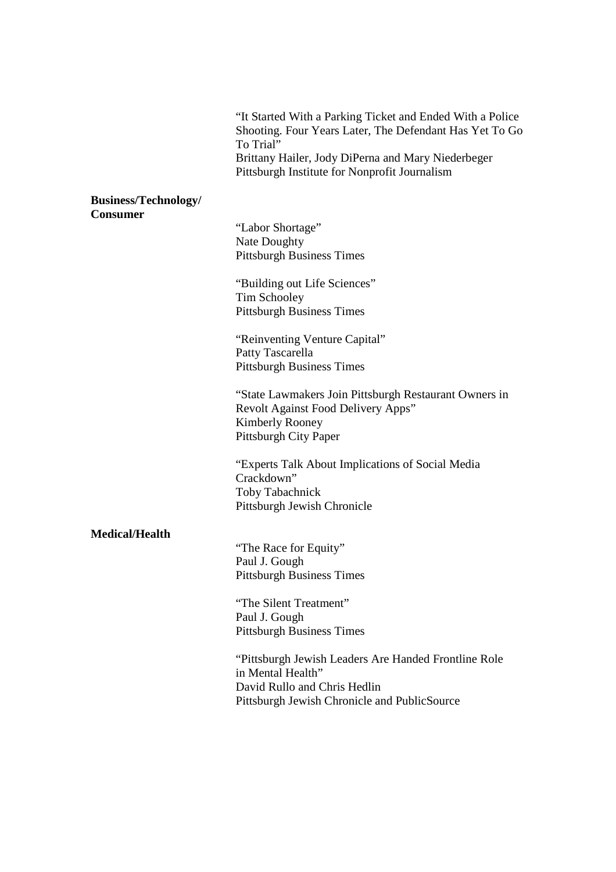"It Started With a Parking Ticket and Ended With a Police Shooting. Four Years Later, The Defendant Has Yet To Go To Trial" Brittany Hailer, Jody DiPerna and Mary Niederbeger Pittsburgh Institute for Nonprofit Journalism

#### **Business/Technology/ Consumer**

"Labor Shortage" Nate Doughty Pittsburgh Business Times

"Building out Life Sciences" Tim Schooley Pittsburgh Business Times

"Reinventing Venture Capital" Patty Tascarella Pittsburgh Business Times

 "State Lawmakers Join Pittsburgh Restaurant Owners in Revolt Against Food Delivery Apps" Kimberly Rooney Pittsburgh City Paper

"Experts Talk About Implications of Social Media Crackdown" Toby Tabachnick Pittsburgh Jewish Chronicle

# **Medical/Health**

"The Race for Equity" Paul J. Gough Pittsburgh Business Times

 "The Silent Treatment" Paul J. Gough Pittsburgh Business Times

 "Pittsburgh Jewish Leaders Are Handed Frontline Role in Mental Health" David Rullo and Chris Hedlin Pittsburgh Jewish Chronicle and PublicSource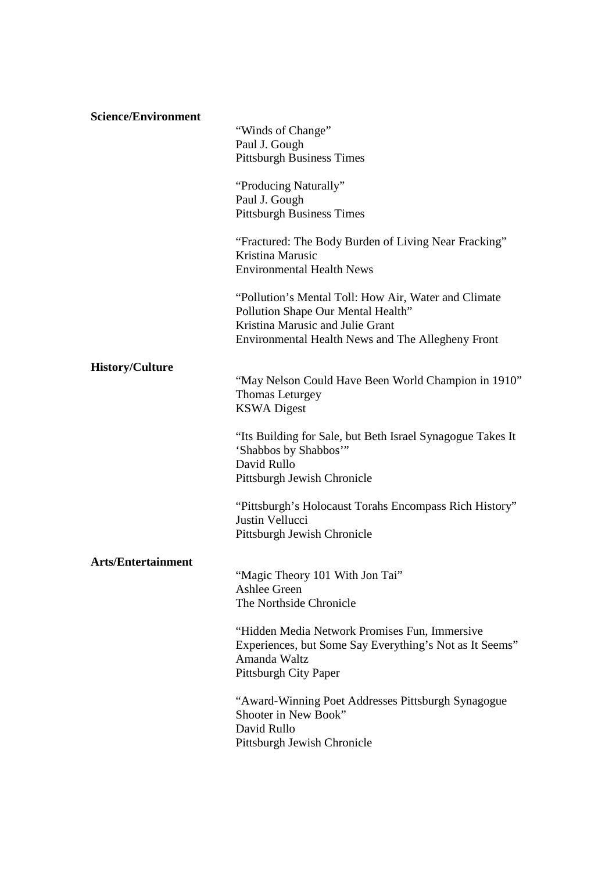| <b>Science/Environment</b> | "Winds of Change"<br>Paul J. Gough<br><b>Pittsburgh Business Times</b><br>"Producing Naturally"<br>Paul J. Gough<br><b>Pittsburgh Business Times</b><br>"Fractured: The Body Burden of Living Near Fracking" |
|----------------------------|--------------------------------------------------------------------------------------------------------------------------------------------------------------------------------------------------------------|
|                            | Kristina Marusic<br><b>Environmental Health News</b>                                                                                                                                                         |
|                            | "Pollution's Mental Toll: How Air, Water and Climate<br>Pollution Shape Our Mental Health"<br>Kristina Marusic and Julie Grant<br>Environmental Health News and The Allegheny Front                          |
| <b>History/Culture</b>     |                                                                                                                                                                                                              |
|                            | "May Nelson Could Have Been World Champion in 1910"<br>Thomas Leturgey<br><b>KSWA</b> Digest                                                                                                                 |
|                            | "Its Building for Sale, but Beth Israel Synagogue Takes It<br>'Shabbos by Shabbos'"<br>David Rullo<br>Pittsburgh Jewish Chronicle                                                                            |
|                            | "Pittsburgh's Holocaust Torahs Encompass Rich History"<br>Justin Vellucci<br>Pittsburgh Jewish Chronicle                                                                                                     |
| <b>Arts/Entertainment</b>  | "Magic Theory 101 With Jon Tai"<br><b>Ashlee Green</b><br>The Northside Chronicle                                                                                                                            |
|                            | "Hidden Media Network Promises Fun, Immersive<br>Experiences, but Some Say Everything's Not as It Seems"<br>Amanda Waltz<br>Pittsburgh City Paper                                                            |
|                            | "Award-Winning Poet Addresses Pittsburgh Synagogue<br>Shooter in New Book"<br>David Rullo<br>Pittsburgh Jewish Chronicle                                                                                     |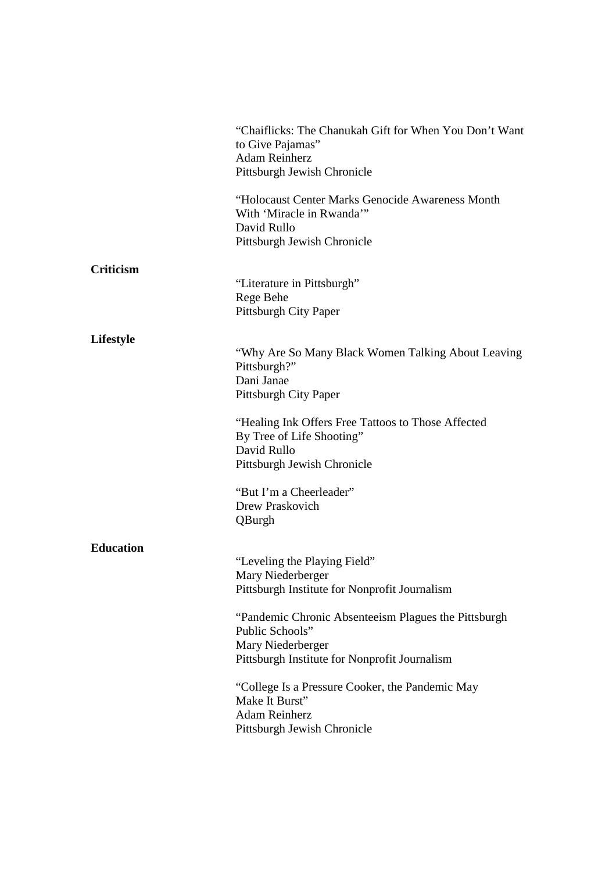|                  | "Chaiflicks: The Chanukah Gift for When You Don't Want<br>to Give Pajamas"<br><b>Adam Reinherz</b><br>Pittsburgh Jewish Chronicle             |
|------------------|-----------------------------------------------------------------------------------------------------------------------------------------------|
|                  | "Holocaust Center Marks Genocide Awareness Month<br>With 'Miracle in Rwanda'"<br>David Rullo<br>Pittsburgh Jewish Chronicle                   |
| Criticism        | "Literature in Pittsburgh"<br>Rege Behe<br>Pittsburgh City Paper                                                                              |
| Lifestyle        | "Why Are So Many Black Women Talking About Leaving"<br>Pittsburgh?"<br>Dani Janae<br>Pittsburgh City Paper                                    |
|                  | "Healing Ink Offers Free Tattoos to Those Affected<br>By Tree of Life Shooting"<br>David Rullo<br>Pittsburgh Jewish Chronicle                 |
|                  | "But I'm a Cheerleader"<br>Drew Praskovich<br>QBurgh                                                                                          |
| <b>Education</b> | "Leveling the Playing Field"<br>Mary Niederberger<br>Pittsburgh Institute for Nonprofit Journalism                                            |
|                  | "Pandemic Chronic Absenteeism Plagues the Pittsburgh<br>Public Schools"<br>Mary Niederberger<br>Pittsburgh Institute for Nonprofit Journalism |
|                  | "College Is a Pressure Cooker, the Pandemic May<br>Make It Burst"<br><b>Adam Reinherz</b><br>Pittsburgh Jewish Chronicle                      |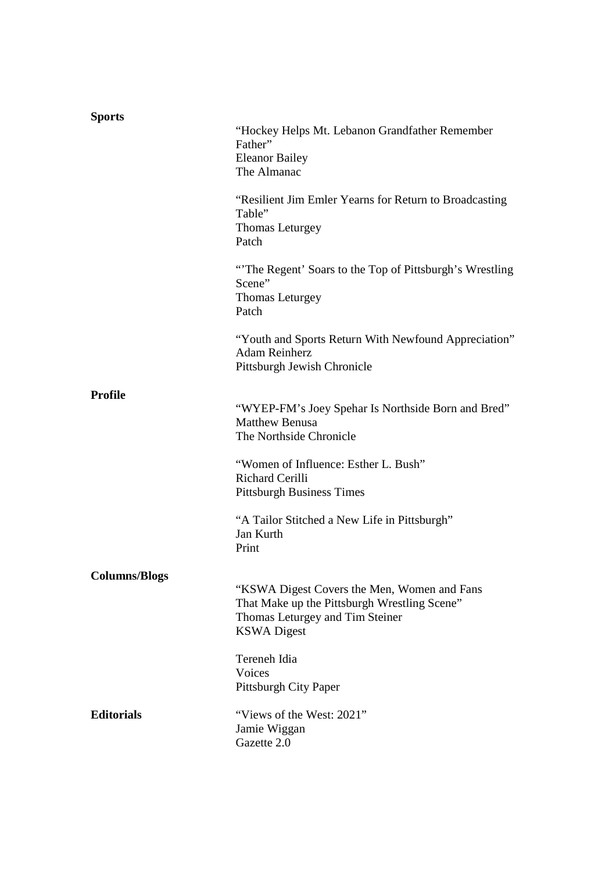| <b>Sports</b>        |                                                                                                                                                      |
|----------------------|------------------------------------------------------------------------------------------------------------------------------------------------------|
|                      | "Hockey Helps Mt. Lebanon Grandfather Remember<br>Father"<br><b>Eleanor Bailey</b><br>The Almanac                                                    |
|                      | "Resilient Jim Emler Yearns for Return to Broadcasting<br>Table"<br>Thomas Leturgey<br>Patch                                                         |
|                      | "The Regent' Soars to the Top of Pittsburgh's Wrestling"<br>Scene"<br>Thomas Leturgey<br>Patch                                                       |
|                      | "Youth and Sports Return With Newfound Appreciation"<br><b>Adam Reinherz</b><br>Pittsburgh Jewish Chronicle                                          |
| <b>Profile</b>       | "WYEP-FM's Joey Spehar Is Northside Born and Bred"<br><b>Matthew Benusa</b><br>The Northside Chronicle                                               |
|                      | "Women of Influence: Esther L. Bush"<br><b>Richard Cerilli</b><br><b>Pittsburgh Business Times</b>                                                   |
|                      | "A Tailor Stitched a New Life in Pittsburgh"<br>Jan Kurth<br>Print                                                                                   |
| <b>Columns/Blogs</b> |                                                                                                                                                      |
|                      | "KSWA Digest Covers the Men, Women and Fans<br>That Make up the Pittsburgh Wrestling Scene"<br>Thomas Leturgey and Tim Steiner<br><b>KSWA</b> Digest |
|                      | Tereneh Idia<br>Voices<br>Pittsburgh City Paper                                                                                                      |
| <b>Editorials</b>    | "Views of the West: 2021"<br>Jamie Wiggan<br>Gazette 2.0                                                                                             |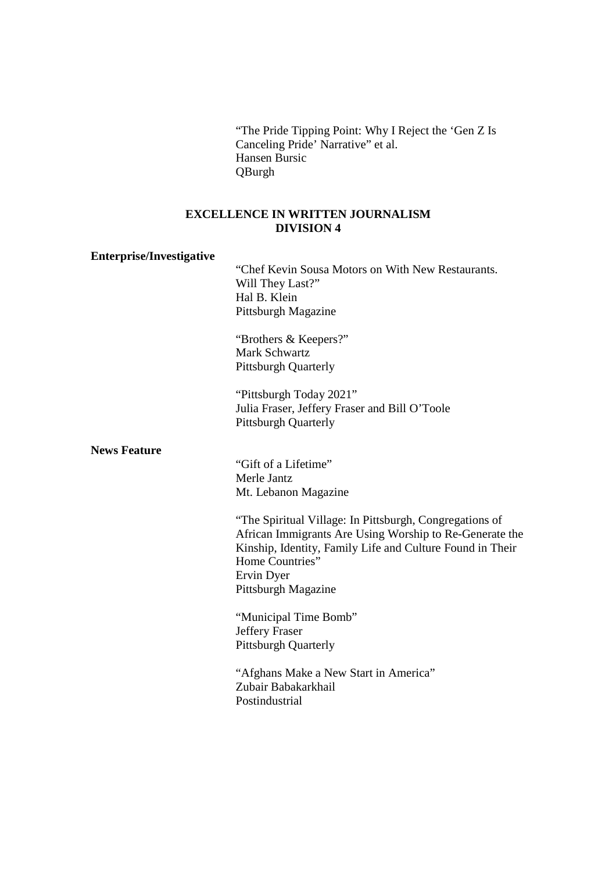"The Pride Tipping Point: Why I Reject the 'Gen Z Is Canceling Pride' Narrative" et al. Hansen Bursic QBurgh

# **EXCELLENCE IN WRITTEN JOURNALISM DIVISION 4**

#### **Enterprise/Investigative**

 "Chef Kevin Sousa Motors on With New Restaurants. Will They Last?" Hal B. Klein Pittsburgh Magazine

 "Brothers & Keepers?" Mark Schwartz Pittsburgh Quarterly

"Pittsburgh Today 2021" Julia Fraser, Jeffery Fraser and Bill O'Toole Pittsburgh Quarterly

#### **News Feature**

 "Gift of a Lifetime" Merle Jantz Mt. Lebanon Magazine

"The Spiritual Village: In Pittsburgh, Congregations of African Immigrants Are Using Worship to Re-Generate the Kinship, Identity, Family Life and Culture Found in Their Home Countries" Ervin Dyer Pittsburgh Magazine

"Municipal Time Bomb" Jeffery Fraser Pittsburgh Quarterly

"Afghans Make a New Start in America" Zubair Babakarkhail Postindustrial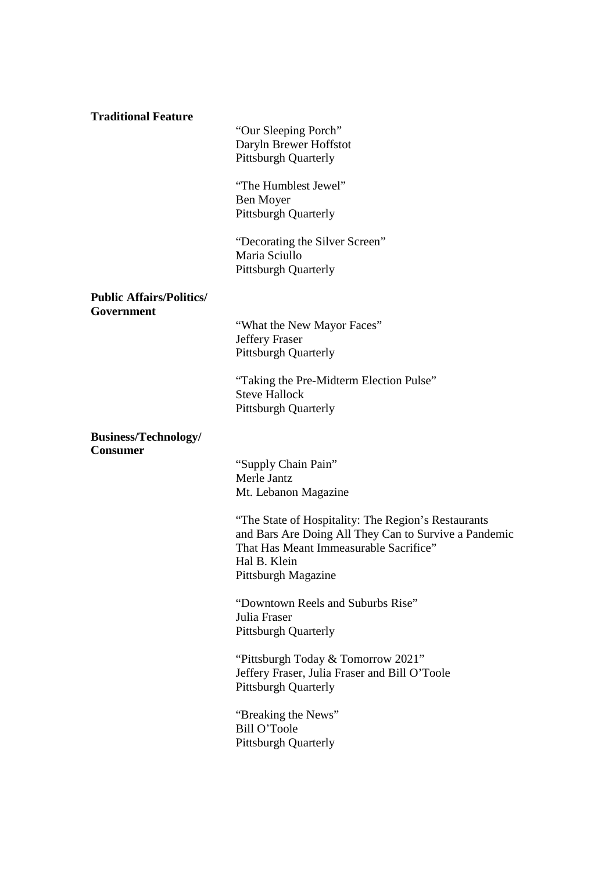# **Traditional Feature**

 "Our Sleeping Porch" Daryln Brewer Hoffstot Pittsburgh Quarterly

"The Humblest Jewel" Ben Moyer Pittsburgh Quarterly

"Decorating the Silver Screen" Maria Sciullo Pittsburgh Quarterly

# **Public Affairs/Politics/ Government**

"What the New Mayor Faces" Jeffery Fraser Pittsburgh Quarterly

 "Taking the Pre-Midterm Election Pulse" Steve Hallock Pittsburgh Quarterly

#### **Business/Technology/ Consumer**

"Supply Chain Pain" Merle Jantz Mt. Lebanon Magazine

"The State of Hospitality: The Region's Restaurants and Bars Are Doing All They Can to Survive a Pandemic That Has Meant Immeasurable Sacrifice" Hal B. Klein Pittsburgh Magazine

"Downtown Reels and Suburbs Rise" Julia Fraser Pittsburgh Quarterly

"Pittsburgh Today & Tomorrow 2021" Jeffery Fraser, Julia Fraser and Bill O'Toole Pittsburgh Quarterly

"Breaking the News" Bill O'Toole Pittsburgh Quarterly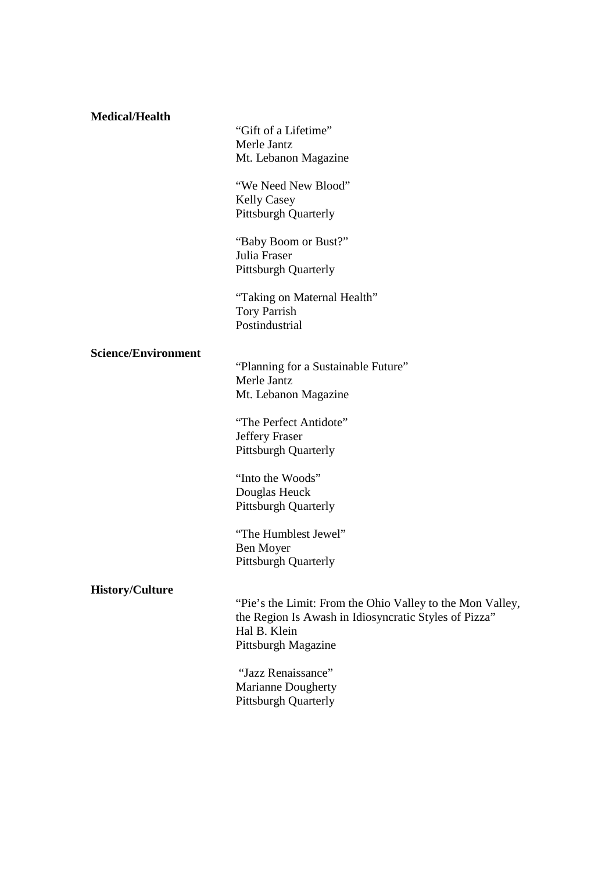# **Medical/Health** "Gift of a Lifetime" Merle Jantz Mt. Lebanon Magazine "We Need New Blood" Kelly Casey Pittsburgh Quarterly "Baby Boom or Bust?" Julia Fraser Pittsburgh Quarterly "Taking on Maternal Health" Tory Parrish Postindustrial **Science/Environment**  "Planning for a Sustainable Future" Merle Jantz Mt. Lebanon Magazine

"The Perfect Antidote" Jeffery Fraser Pittsburgh Quarterly

"Into the Woods" Douglas Heuck Pittsburgh Quarterly

"The Humblest Jewel" Ben Moyer Pittsburgh Quarterly

#### **History/Culture**

 "Pie's the Limit: From the Ohio Valley to the Mon Valley, the Region Is Awash in Idiosyncratic Styles of Pizza" Hal B. Klein Pittsburgh Magazine

 "Jazz Renaissance" Marianne Dougherty Pittsburgh Quarterly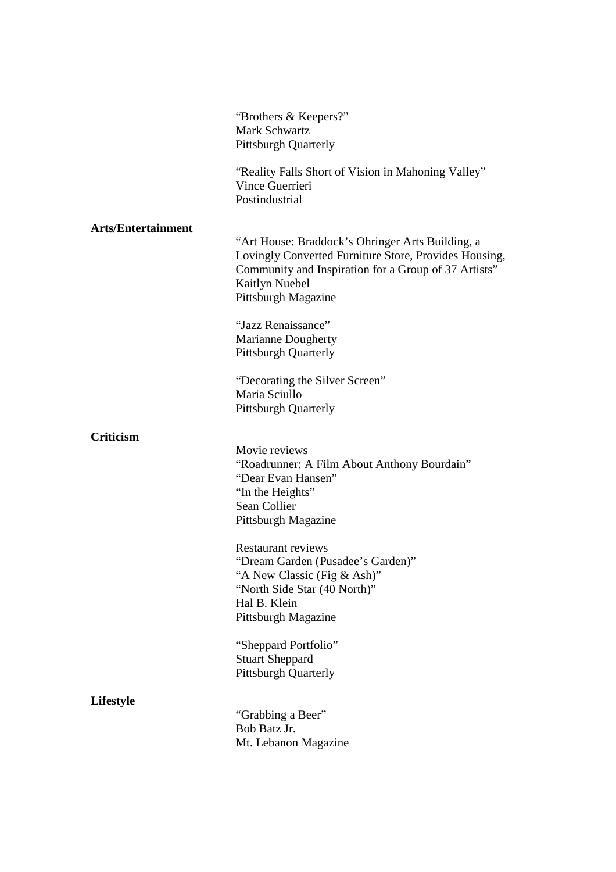|                           | "Brothers & Keepers?"<br>Mark Schwartz<br><b>Pittsburgh Quarterly</b>                                                                                                                                             |
|---------------------------|-------------------------------------------------------------------------------------------------------------------------------------------------------------------------------------------------------------------|
|                           | "Reality Falls Short of Vision in Mahoning Valley"<br>Vince Guerrieri<br>Postindustrial                                                                                                                           |
| <b>Arts/Entertainment</b> | "Art House: Braddock's Ohringer Arts Building, a<br>Lovingly Converted Furniture Store, Provides Housing,<br>Community and Inspiration for a Group of 37 Artists"<br><b>Kaitlyn Nuebel</b><br>Pittsburgh Magazine |
|                           | "Jazz Renaissance"<br>Marianne Dougherty<br><b>Pittsburgh Quarterly</b>                                                                                                                                           |
|                           | "Decorating the Silver Screen"<br>Maria Sciullo<br><b>Pittsburgh Quarterly</b>                                                                                                                                    |
| <b>Criticism</b>          | Movie reviews<br>"Roadrunner: A Film About Anthony Bourdain"<br>"Dear Evan Hansen"<br>"In the Heights"<br>Sean Collier<br>Pittsburgh Magazine                                                                     |
|                           | <b>Restaurant reviews</b><br>"Dream Garden (Pusadee's Garden)"<br>"A New Classic (Fig & Ash)"<br>"North Side Star (40 North)"<br>Hal B. Klein<br>Pittsburgh Magazine                                              |
|                           | "Sheppard Portfolio"<br><b>Stuart Sheppard</b><br><b>Pittsburgh Quarterly</b>                                                                                                                                     |
| Lifestyle                 | "Grabbing a Beer"<br>Bob Batz Jr.<br>Mt. Lebanon Magazine                                                                                                                                                         |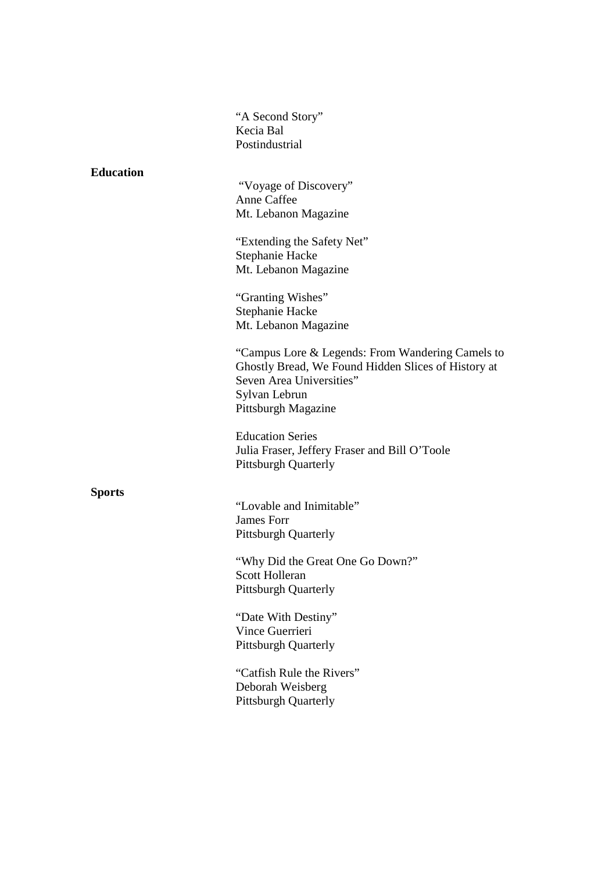"A Second Story" Kecia Bal Postindustrial

#### **Education**

 "Voyage of Discovery" Anne Caffee Mt. Lebanon Magazine

"Extending the Safety Net" Stephanie Hacke Mt. Lebanon Magazine

 "Granting Wishes" Stephanie Hacke Mt. Lebanon Magazine

"Campus Lore & Legends: From Wandering Camels to Ghostly Bread, We Found Hidden Slices of History at Seven Area Universities" Sylvan Lebrun Pittsburgh Magazine

Education Series Julia Fraser, Jeffery Fraser and Bill O'Toole Pittsburgh Quarterly

#### **Sports**

"Lovable and Inimitable" James Forr Pittsburgh Quarterly

"Why Did the Great One Go Down?" Scott Holleran Pittsburgh Quarterly

"Date With Destiny" Vince Guerrieri Pittsburgh Quarterly

 "Catfish Rule the Rivers" Deborah Weisberg Pittsburgh Quarterly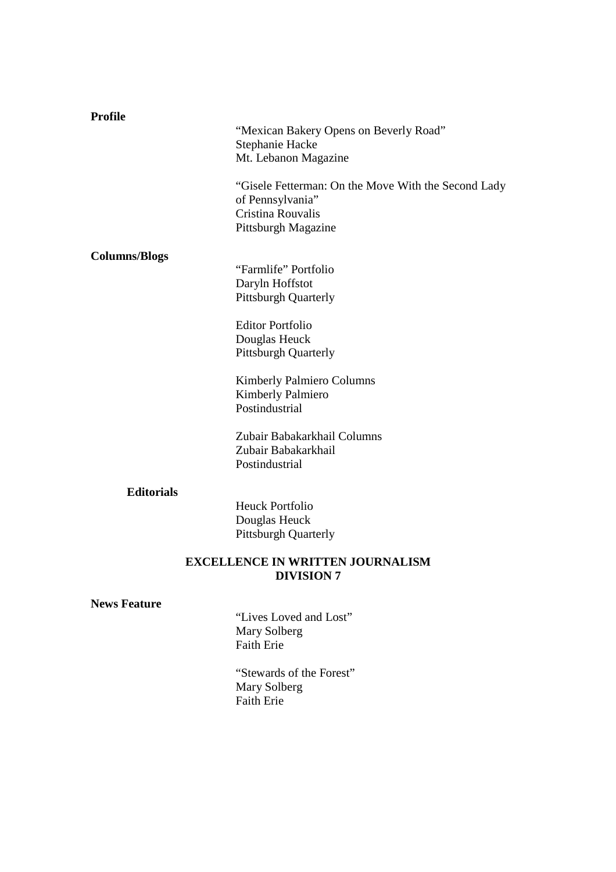| <b>Profile</b>       |                                                      |  |
|----------------------|------------------------------------------------------|--|
|                      | "Mexican Bakery Opens on Beverly Road"               |  |
|                      | Stephanie Hacke                                      |  |
|                      | Mt. Lebanon Magazine                                 |  |
|                      | "Gisele Fetterman: On the Move With the Second Lady" |  |
|                      | of Pennsylvania"<br>Cristina Rouvalis                |  |
|                      | Pittsburgh Magazine                                  |  |
|                      |                                                      |  |
| <b>Columns/Blogs</b> |                                                      |  |
|                      | "Farmlife" Portfolio                                 |  |
|                      | Daryln Hoffstot                                      |  |
|                      | <b>Pittsburgh Quarterly</b>                          |  |
|                      | <b>Editor Portfolio</b>                              |  |
|                      | Douglas Heuck                                        |  |
|                      | <b>Pittsburgh Quarterly</b>                          |  |
|                      | Kimberly Palmiero Columns                            |  |
|                      | <b>Kimberly Palmiero</b>                             |  |
|                      | Postindustrial                                       |  |
|                      | Zubair Babakarkhail Columns                          |  |
|                      | Zubair Babakarkhail                                  |  |
|                      | Postindustrial                                       |  |
| <b>Editorials</b>    |                                                      |  |
|                      | <b>Heuck Portfolio</b>                               |  |
|                      | Douglas Heuck                                        |  |
|                      | Pittsburgh Quarterly                                 |  |
|                      | <b>EXCELLENCE IN WRITTEN JOURNALISM</b>              |  |
| <b>DIVISION 7</b>    |                                                      |  |
| <b>News Feature</b>  |                                                      |  |
|                      | "Lives Loved and Lost"                               |  |
|                      | Mary Solberg                                         |  |
|                      | <b>Faith Erie</b>                                    |  |
|                      | "Stewards of the Forest"                             |  |
|                      | Mary Solberg                                         |  |
|                      | Faith Erie                                           |  |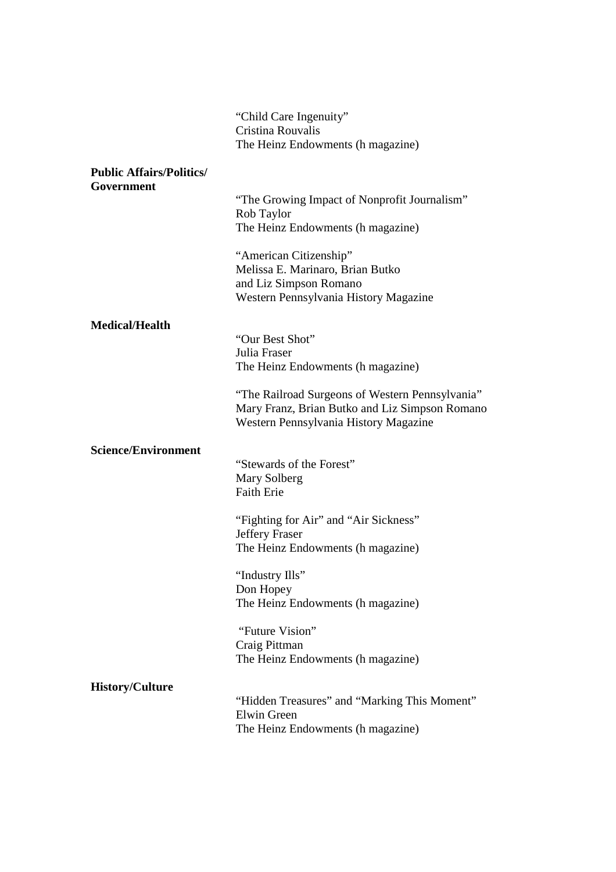|                                 | "Child Care Ingenuity"<br>Cristina Rouvalis<br>The Heinz Endowments (h magazine)                                                           |
|---------------------------------|--------------------------------------------------------------------------------------------------------------------------------------------|
| <b>Public Affairs/Politics/</b> |                                                                                                                                            |
| Government                      | "The Growing Impact of Nonprofit Journalism"<br>Rob Taylor<br>The Heinz Endowments (h magazine)                                            |
|                                 | "American Citizenship"<br>Melissa E. Marinaro, Brian Butko<br>and Liz Simpson Romano<br>Western Pennsylvania History Magazine              |
| <b>Medical/Health</b>           |                                                                                                                                            |
|                                 | "Our Best Shot"<br>Julia Fraser<br>The Heinz Endowments (h magazine)                                                                       |
|                                 | "The Railroad Surgeons of Western Pennsylvania"<br>Mary Franz, Brian Butko and Liz Simpson Romano<br>Western Pennsylvania History Magazine |
| <b>Science/Environment</b>      |                                                                                                                                            |
|                                 | "Stewards of the Forest"<br>Mary Solberg<br><b>Faith Erie</b>                                                                              |
|                                 | "Fighting for Air" and "Air Sickness"                                                                                                      |
|                                 | <b>Jeffery Fraser</b><br>The Heinz Endowments (h magazine)                                                                                 |
|                                 | "Industry Ills"<br>Don Hopey<br>The Heinz Endowments (h magazine)                                                                          |
|                                 | "Future Vision"<br>Craig Pittman<br>The Heinz Endowments (h magazine)                                                                      |
| <b>History/Culture</b>          |                                                                                                                                            |
|                                 | "Hidden Treasures" and "Marking This Moment"<br>Elwin Green<br>The Heinz Endowments (h magazine)                                           |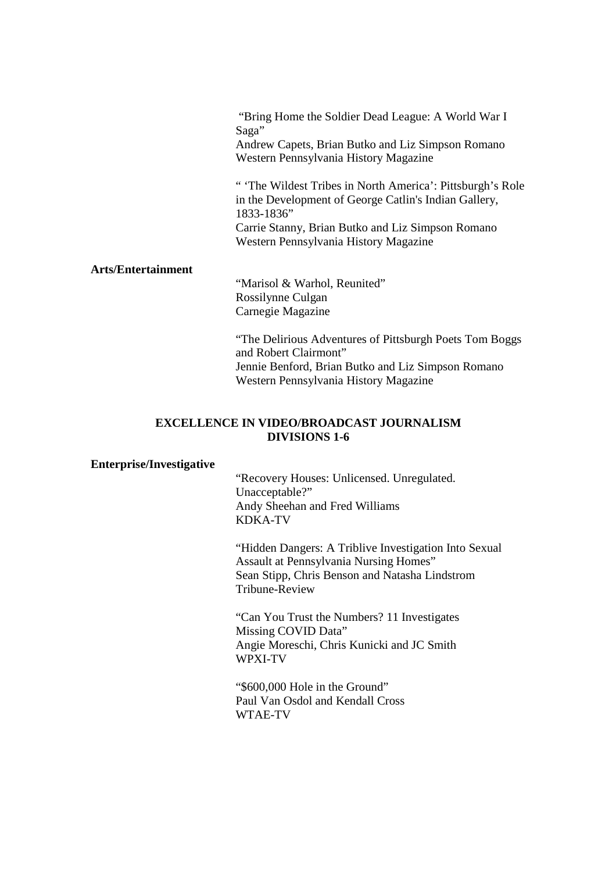"Bring Home the Soldier Dead League: A World War I Saga" Andrew Capets, Brian Butko and Liz Simpson Romano Western Pennsylvania History Magazine

" 'The Wildest Tribes in North America': Pittsburgh's Role in the Development of George Catlin's Indian Gallery, 1833-1836" Carrie Stanny, Brian Butko and Liz Simpson Romano Western Pennsylvania History Magazine

#### **Arts/Entertainment**

 "Marisol & Warhol, Reunited" Rossilynne Culgan Carnegie Magazine

"The Delirious Adventures of Pittsburgh Poets Tom Boggs and Robert Clairmont" Jennie Benford, Brian Butko and Liz Simpson Romano Western Pennsylvania History Magazine

# **EXCELLENCE IN VIDEO/BROADCAST JOURNALISM DIVISIONS 1-6**

#### **Enterprise/Investigative**

"Recovery Houses: Unlicensed. Unregulated. Unacceptable?" Andy Sheehan and Fred Williams KDKA-TV

"Hidden Dangers: A Triblive Investigation Into Sexual Assault at Pennsylvania Nursing Homes" Sean Stipp, Chris Benson and Natasha Lindstrom Tribune-Review

 "Can You Trust the Numbers? 11 Investigates Missing COVID Data" Angie Moreschi, Chris Kunicki and JC Smith WPXI-TV

"\$600,000 Hole in the Ground" Paul Van Osdol and Kendall Cross WTAE-TV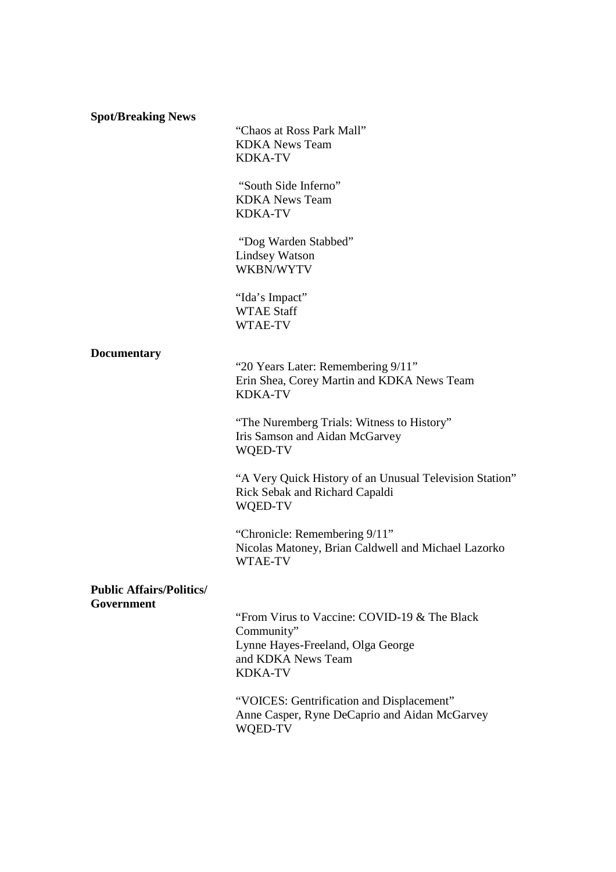**Spot/Breaking News** 

"Chaos at Ross Park Mall" KDKA News Team KDKA-TV

 "South Side Inferno" KDKA News Team KDKA-TV

 "Dog Warden Stabbed" Lindsey Watson WKBN/WYTV

"Ida's Impact" WTAE Staff WTAE-TV

#### **Documentary**

 "20 Years Later: Remembering 9/11" Erin Shea, Corey Martin and KDKA News Team KDKA-TV

"The Nuremberg Trials: Witness to History" Iris Samson and Aidan McGarvey WQED-TV

"A Very Quick History of an Unusual Television Station" Rick Sebak and Richard Capaldi WQED-TV

 "Chronicle: Remembering 9/11" Nicolas Matoney, Brian Caldwell and Michael Lazorko WTAE-TV

#### **Public Affairs/Politics/ Government**

 "From Virus to Vaccine: COVID-19 & The Black Community" Lynne Hayes-Freeland, Olga George and KDKA News Team KDKA-TV

"VOICES: Gentrification and Displacement" Anne Casper, Ryne DeCaprio and Aidan McGarvey WQED-TV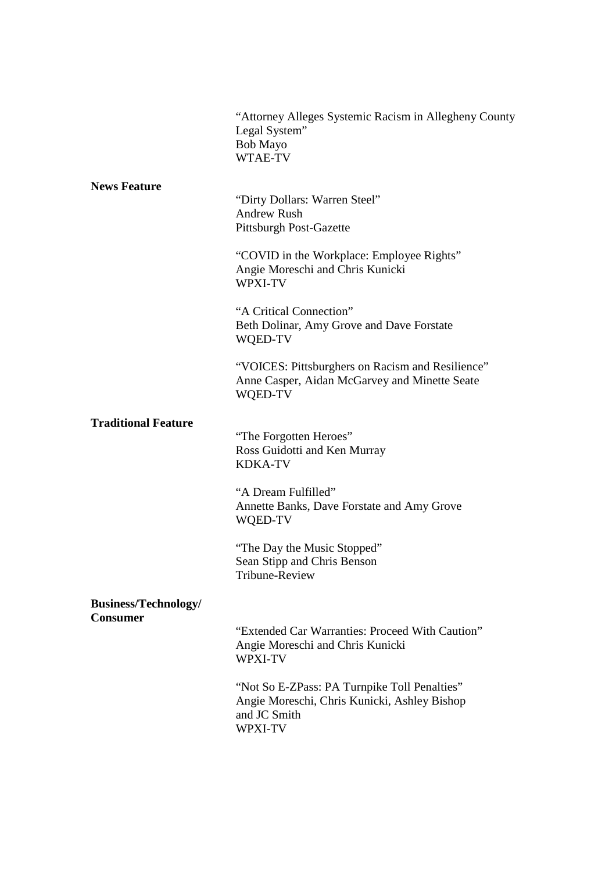|                                                | "Attorney Alleges Systemic Racism in Allegheny County<br>Legal System"<br>Bob Mayo<br>WTAE-TV                                                                                                                                                                                                                                                                                        |
|------------------------------------------------|--------------------------------------------------------------------------------------------------------------------------------------------------------------------------------------------------------------------------------------------------------------------------------------------------------------------------------------------------------------------------------------|
| <b>News Feature</b>                            | "Dirty Dollars: Warren Steel"<br><b>Andrew Rush</b><br><b>Pittsburgh Post-Gazette</b><br>"COVID in the Workplace: Employee Rights"<br>Angie Moreschi and Chris Kunicki<br>WPXI-TV<br>"A Critical Connection"<br>Beth Dolinar, Amy Grove and Dave Forstate<br>WQED-TV<br>"VOICES: Pittsburghers on Racism and Resilience"<br>Anne Casper, Aidan McGarvey and Minette Seate<br>WQED-TV |
| <b>Traditional Feature</b>                     | "The Forgotten Heroes"<br>Ross Guidotti and Ken Murray<br><b>KDKA-TV</b><br>"A Dream Fulfilled"<br>Annette Banks, Dave Forstate and Amy Grove<br>WQED-TV<br>"The Day the Music Stopped"<br>Sean Stipp and Chris Benson<br>Tribune-Review                                                                                                                                             |
| <b>Business/Technology/</b><br><b>Consumer</b> | "Extended Car Warranties: Proceed With Caution"<br>Angie Moreschi and Chris Kunicki<br><b>WPXI-TV</b><br>"Not So E-ZPass: PA Turnpike Toll Penalties"<br>Angie Moreschi, Chris Kunicki, Ashley Bishop<br>and JC Smith<br>WPXI-TV                                                                                                                                                     |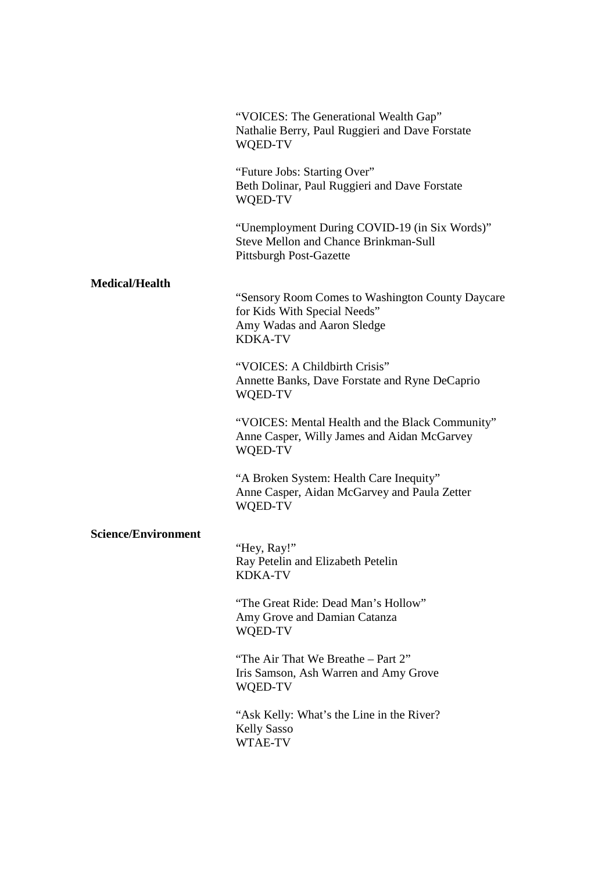|                            | "VOICES: The Generational Wealth Gap"<br>Nathalie Berry, Paul Ruggieri and Dave Forstate<br>WQED-TV                              |
|----------------------------|----------------------------------------------------------------------------------------------------------------------------------|
|                            | "Future Jobs: Starting Over"<br>Beth Dolinar, Paul Ruggieri and Dave Forstate<br>WQED-TV                                         |
|                            | "Unemployment During COVID-19 (in Six Words)"<br><b>Steve Mellon and Chance Brinkman-Sull</b><br><b>Pittsburgh Post-Gazette</b>  |
| <b>Medical/Health</b>      |                                                                                                                                  |
|                            | "Sensory Room Comes to Washington County Daycare<br>for Kids With Special Needs"<br>Amy Wadas and Aaron Sledge<br><b>KDKA-TV</b> |
|                            | "VOICES: A Childbirth Crisis"<br>Annette Banks, Dave Forstate and Ryne DeCaprio<br>WQED-TV                                       |
|                            | "VOICES: Mental Health and the Black Community"<br>Anne Casper, Willy James and Aidan McGarvey<br>WQED-TV                        |
|                            | "A Broken System: Health Care Inequity"<br>Anne Casper, Aidan McGarvey and Paula Zetter<br>WQED-TV                               |
| <b>Science/Environment</b> |                                                                                                                                  |
|                            | "Hey, Ray!"<br>Ray Petelin and Elizabeth Petelin<br><b>KDKA-TV</b>                                                               |
|                            | "The Great Ride: Dead Man's Hollow"<br>Amy Grove and Damian Catanza<br>WQED-TV                                                   |
|                            | "The Air That We Breathe – Part 2"<br>Iris Samson, Ash Warren and Amy Grove<br>WQED-TV                                           |
|                            | "Ask Kelly: What's the Line in the River?"<br><b>Kelly Sasso</b><br>WTAE-TV                                                      |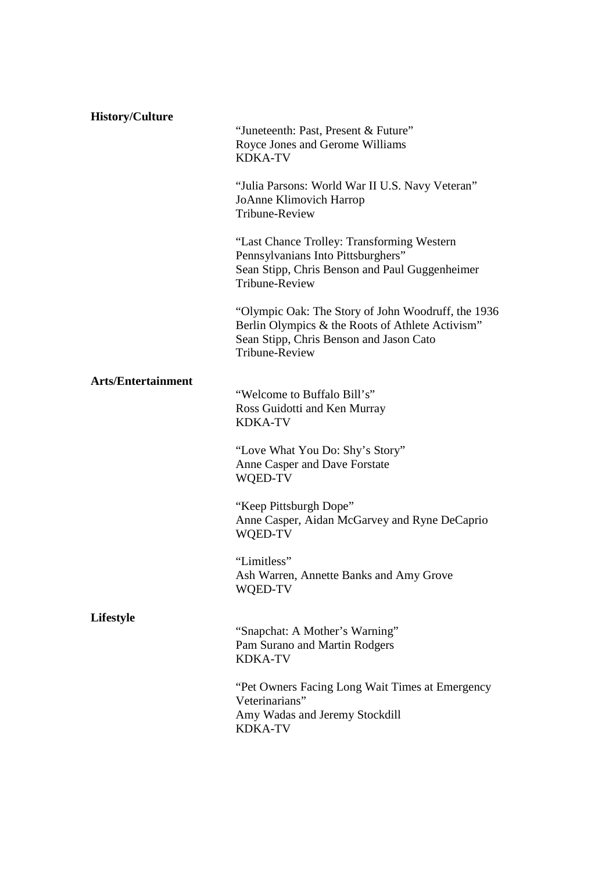| <b>History/Culture</b>    | "Juneteenth: Past, Present & Future"<br>Royce Jones and Gerome Williams<br><b>KDKA-TV</b>                                                                           |
|---------------------------|---------------------------------------------------------------------------------------------------------------------------------------------------------------------|
|                           | "Julia Parsons: World War II U.S. Navy Veteran"<br>JoAnne Klimovich Harrop<br><b>Tribune-Review</b>                                                                 |
|                           | "Last Chance Trolley: Transforming Western<br>Pennsylvanians Into Pittsburghers"<br>Sean Stipp, Chris Benson and Paul Guggenheimer<br>Tribune-Review                |
|                           | "Olympic Oak: The Story of John Woodruff, the 1936<br>Berlin Olympics & the Roots of Athlete Activism"<br>Sean Stipp, Chris Benson and Jason Cato<br>Tribune-Review |
| <b>Arts/Entertainment</b> | "Welcome to Buffalo Bill's"<br>Ross Guidotti and Ken Murray<br><b>KDKA-TV</b>                                                                                       |
|                           | "Love What You Do: Shy's Story"<br>Anne Casper and Dave Forstate<br>WQED-TV                                                                                         |
|                           | "Keep Pittsburgh Dope"<br>Anne Casper, Aidan McGarvey and Ryne DeCaprio<br>WQED-TV                                                                                  |
|                           | "Limitless"<br>Ash Warren, Annette Banks and Amy Grove<br>WQED-TV                                                                                                   |
| Lifestyle                 | "Snapchat: A Mother's Warning"<br>Pam Surano and Martin Rodgers<br><b>KDKA-TV</b>                                                                                   |
|                           | "Pet Owners Facing Long Wait Times at Emergency"<br>Veterinarians"<br>Amy Wadas and Jeremy Stockdill<br><b>KDKA-TV</b>                                              |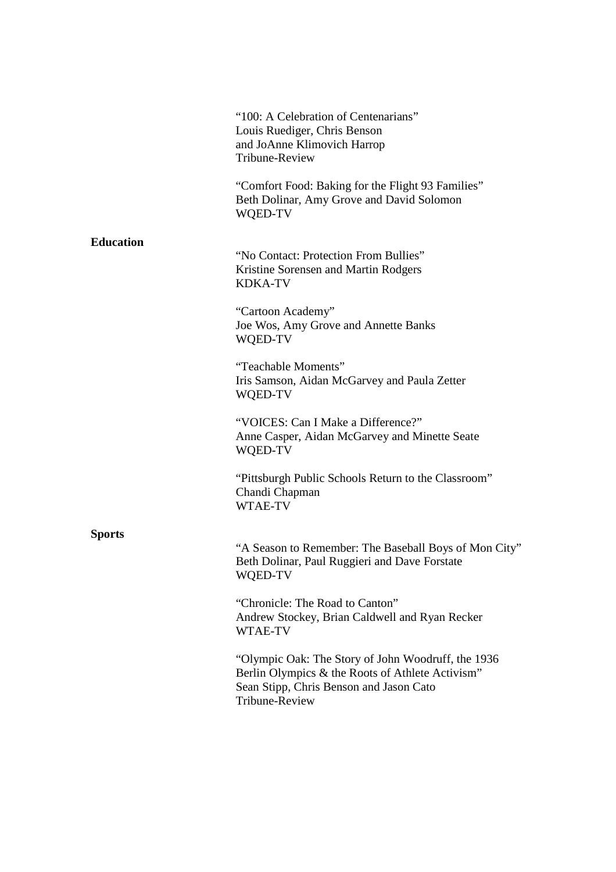|                  | "100: A Celebration of Centenarians"<br>Louis Ruediger, Chris Benson                                                                              |
|------------------|---------------------------------------------------------------------------------------------------------------------------------------------------|
|                  | and JoAnne Klimovich Harrop<br>Tribune-Review                                                                                                     |
|                  | "Comfort Food: Baking for the Flight 93 Families"<br>Beth Dolinar, Amy Grove and David Solomon<br>WQED-TV                                         |
| <b>Education</b> |                                                                                                                                                   |
|                  | "No Contact: Protection From Bullies"<br>Kristine Sorensen and Martin Rodgers<br><b>KDKA-TV</b>                                                   |
|                  | "Cartoon Academy"<br>Joe Wos, Amy Grove and Annette Banks<br>WQED-TV                                                                              |
|                  | "Teachable Moments"<br>Iris Samson, Aidan McGarvey and Paula Zetter<br>WQED-TV                                                                    |
|                  | "VOICES: Can I Make a Difference?"<br>Anne Casper, Aidan McGarvey and Minette Seate<br>WQED-TV                                                    |
|                  | "Pittsburgh Public Schools Return to the Classroom"<br>Chandi Chapman<br>WTAE-TV                                                                  |
| <b>Sports</b>    |                                                                                                                                                   |
|                  | "A Season to Remember: The Baseball Boys of Mon City"<br>Beth Dolinar, Paul Ruggieri and Dave Forstate<br>WQED-TV                                 |
|                  | "Chronicle: The Road to Canton"<br>Andrew Stockey, Brian Caldwell and Ryan Recker<br>WTAE-TV                                                      |
|                  | "Olympic Oak: The Story of John Woodruff, the 1936<br>Berlin Olympics & the Roots of Athlete Activism"<br>Sean Stipp, Chris Benson and Jason Cato |

Tribune-Review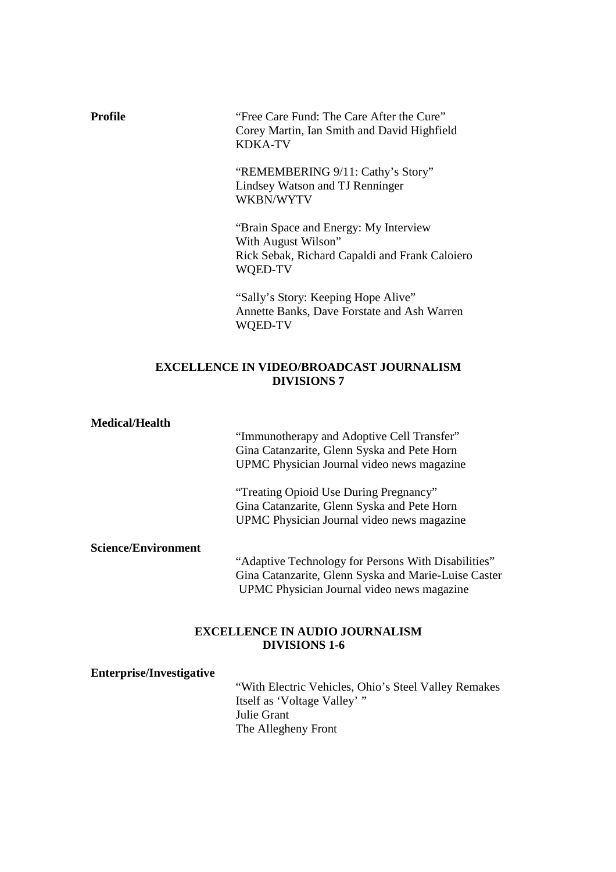**Profile** "Free Care Fund: The Care After the Cure" Corey Martin, Ian Smith and David Highfield KDKA-TV

> "REMEMBERING 9/11: Cathy's Story" Lindsey Watson and TJ Renninger WKBN/WYTV

"Brain Space and Energy: My Interview With August Wilson" Rick Sebak, Richard Capaldi and Frank Caloiero WQED-TV

"Sally's Story: Keeping Hope Alive" Annette Banks, Dave Forstate and Ash Warren WQED-TV

# **EXCELLENCE IN VIDEO/BROADCAST JOURNALISM DIVISIONS 7**

#### **Medical/Health**

 "Immunotherapy and Adoptive Cell Transfer" Gina Catanzarite, Glenn Syska and Pete Horn UPMC Physician Journal video news magazine

 "Treating Opioid Use During Pregnancy" Gina Catanzarite, Glenn Syska and Pete Horn UPMC Physician Journal video news magazine

**Science/Environment** 

 "Adaptive Technology for Persons With Disabilities" Gina Catanzarite, Glenn Syska and Marie-Luise Caster UPMC Physician Journal video news magazine

# **EXCELLENCE IN AUDIO JOURNALISM DIVISIONS 1-6**

**Enterprise/Investigative** 

"With Electric Vehicles, Ohio's Steel Valley Remakes Itself as 'Voltage Valley' " Julie Grant The Allegheny Front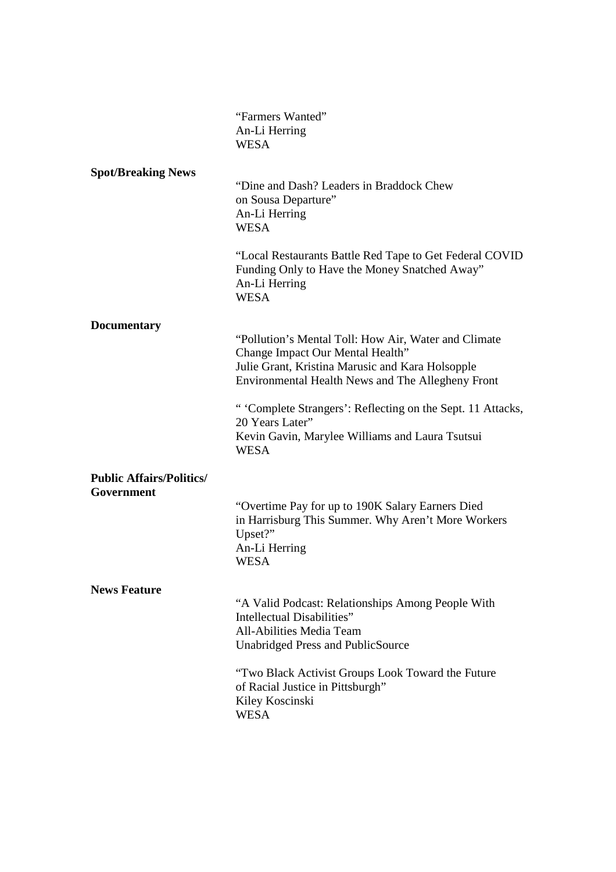|                                               | "Farmers Wanted"<br>An-Li Herring<br><b>WESA</b>                                                                                                                                                         |
|-----------------------------------------------|----------------------------------------------------------------------------------------------------------------------------------------------------------------------------------------------------------|
| <b>Spot/Breaking News</b>                     | "Dine and Dash? Leaders in Braddock Chew<br>on Sousa Departure"<br>An-Li Herring<br><b>WESA</b>                                                                                                          |
|                                               | "Local Restaurants Battle Red Tape to Get Federal COVID<br>Funding Only to Have the Money Snatched Away"<br>An-Li Herring<br><b>WESA</b>                                                                 |
| <b>Documentary</b>                            | "Pollution's Mental Toll: How Air, Water and Climate<br>Change Impact Our Mental Health"<br>Julie Grant, Kristina Marusic and Kara Holsopple<br><b>Environmental Health News and The Allegheny Front</b> |
|                                               | " 'Complete Strangers': Reflecting on the Sept. 11 Attacks,<br>20 Years Later"<br>Kevin Gavin, Marylee Williams and Laura Tsutsui<br><b>WESA</b>                                                         |
| <b>Public Affairs/Politics/</b><br>Government |                                                                                                                                                                                                          |
|                                               | "Overtime Pay for up to 190K Salary Earners Died<br>in Harrisburg This Summer. Why Aren't More Workers<br>Upset?"<br>An-Li Herring<br><b>WESA</b>                                                        |
| <b>News Feature</b>                           | "A Valid Podcast: Relationships Among People With<br>Intellectual Disabilities"<br>All-Abilities Media Team<br><b>Unabridged Press and PublicSource</b>                                                  |
|                                               | "Two Black Activist Groups Look Toward the Future<br>of Racial Justice in Pittsburgh"<br>Kiley Koscinski<br><b>WESA</b>                                                                                  |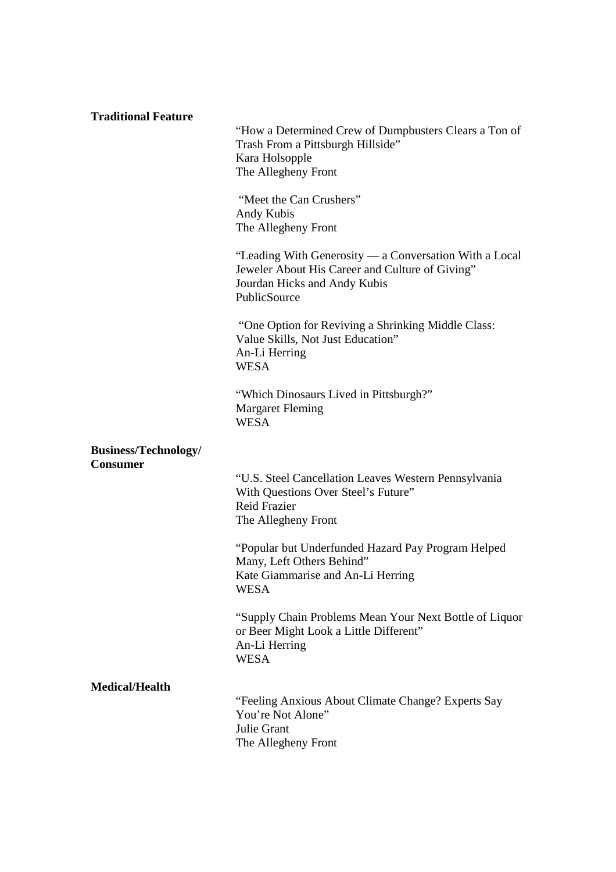| <b>Traditional Feature</b>  |                                                                                                                                                           |
|-----------------------------|-----------------------------------------------------------------------------------------------------------------------------------------------------------|
|                             | "How a Determined Crew of Dumpbusters Clears a Ton of<br>Trash From a Pittsburgh Hillside"<br>Kara Holsopple<br>The Allegheny Front                       |
|                             | "Meet the Can Crushers"<br>Andy Kubis<br>The Allegheny Front                                                                                              |
|                             | "Leading With Generosity — a Conversation With a Local<br>Jeweler About His Career and Culture of Giving"<br>Jourdan Hicks and Andy Kubis<br>PublicSource |
|                             | "One Option for Reviving a Shrinking Middle Class:<br>Value Skills, Not Just Education"<br>An-Li Herring<br><b>WESA</b>                                   |
|                             | "Which Dinosaurs Lived in Pittsburgh?"<br><b>Margaret Fleming</b><br><b>WESA</b>                                                                          |
| <b>Business/Technology/</b> |                                                                                                                                                           |
| <b>Consumer</b>             | "U.S. Steel Cancellation Leaves Western Pennsylvania<br>With Questions Over Steel's Future"<br><b>Reid Frazier</b><br>The Allegheny Front                 |
|                             | "Popular but Underfunded Hazard Pay Program Helped<br>Many, Left Others Behind"<br>Kate Giammarise and An-Li Herring<br><b>WESA</b>                       |
|                             | "Supply Chain Problems Mean Your Next Bottle of Liquor<br>or Beer Might Look a Little Different"<br>An-Li Herring<br><b>WESA</b>                          |
| <b>Medical/Health</b>       |                                                                                                                                                           |
|                             | "Feeling Anxious About Climate Change? Experts Say<br>You're Not Alone"<br>Julie Grant<br>The Allegheny Front                                             |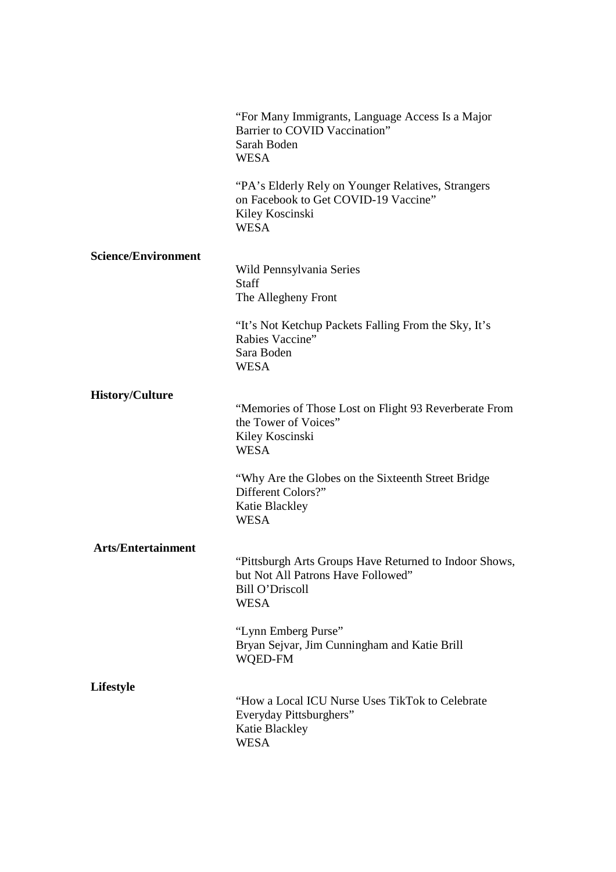|                            | "For Many Immigrants, Language Access Is a Major<br>Barrier to COVID Vaccination"<br>Sarah Boden<br><b>WESA</b>                       |
|----------------------------|---------------------------------------------------------------------------------------------------------------------------------------|
|                            | "PA's Elderly Rely on Younger Relatives, Strangers<br>on Facebook to Get COVID-19 Vaccine"<br>Kiley Koscinski<br><b>WESA</b>          |
| <b>Science/Environment</b> | Wild Pennsylvania Series<br><b>Staff</b><br>The Allegheny Front                                                                       |
|                            | "It's Not Ketchup Packets Falling From the Sky, It's<br>Rabies Vaccine"<br>Sara Boden<br><b>WESA</b>                                  |
| <b>History/Culture</b>     | "Memories of Those Lost on Flight 93 Reverberate From<br>the Tower of Voices"<br>Kiley Koscinski<br><b>WESA</b>                       |
|                            | "Why Are the Globes on the Sixteenth Street Bridge"<br>Different Colors?"<br>Katie Blackley<br><b>WESA</b>                            |
| <b>Arts/Entertainment</b>  | "Pittsburgh Arts Groups Have Returned to Indoor Shows,<br>but Not All Patrons Have Followed"<br><b>Bill O'Driscoll</b><br><b>WESA</b> |
|                            | "Lynn Emberg Purse"<br>Bryan Sejvar, Jim Cunningham and Katie Brill<br>WQED-FM                                                        |
| <b>Lifestyle</b>           | "How a Local ICU Nurse Uses TikTok to Celebrate<br>Everyday Pittsburghers"<br>Katie Blackley<br><b>WESA</b>                           |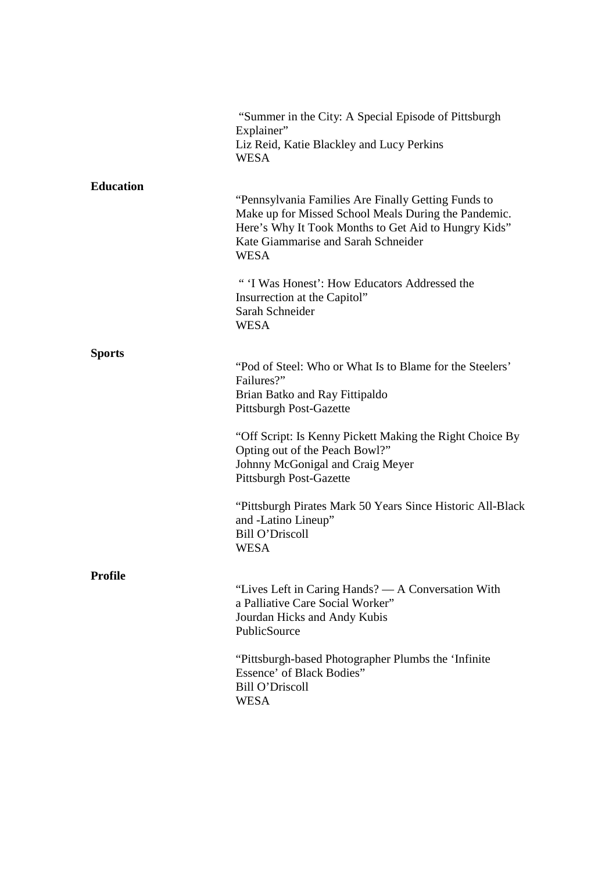|                  | "Summer in the City: A Special Episode of Pittsburgh<br>Explainer"<br>Liz Reid, Katie Blackley and Lucy Perkins<br><b>WESA</b>                                                                                            |
|------------------|---------------------------------------------------------------------------------------------------------------------------------------------------------------------------------------------------------------------------|
| <b>Education</b> | "Pennsylvania Families Are Finally Getting Funds to<br>Make up for Missed School Meals During the Pandemic.<br>Here's Why It Took Months to Get Aid to Hungry Kids"<br>Kate Giammarise and Sarah Schneider<br><b>WESA</b> |
|                  | "'I Was Honest': How Educators Addressed the<br>Insurrection at the Capitol"<br>Sarah Schneider<br><b>WESA</b>                                                                                                            |
| <b>Sports</b>    | "Pod of Steel: Who or What Is to Blame for the Steelers"<br>Failures?"<br>Brian Batko and Ray Fittipaldo<br><b>Pittsburgh Post-Gazette</b>                                                                                |
|                  | "Off Script: Is Kenny Pickett Making the Right Choice By<br>Opting out of the Peach Bowl?"<br>Johnny McGonigal and Craig Meyer<br>Pittsburgh Post-Gazette                                                                 |
|                  | "Pittsburgh Pirates Mark 50 Years Since Historic All-Black"<br>and -Latino Lineup"<br><b>Bill O'Driscoll</b><br><b>WESA</b>                                                                                               |
| <b>Profile</b>   | "Lives Left in Caring Hands? — A Conversation With<br>a Palliative Care Social Worker"<br>Jourdan Hicks and Andy Kubis<br>PublicSource                                                                                    |
|                  | "Pittsburgh-based Photographer Plumbs the 'Infinite"<br>Essence' of Black Bodies"<br><b>Bill O'Driscoll</b><br><b>WESA</b>                                                                                                |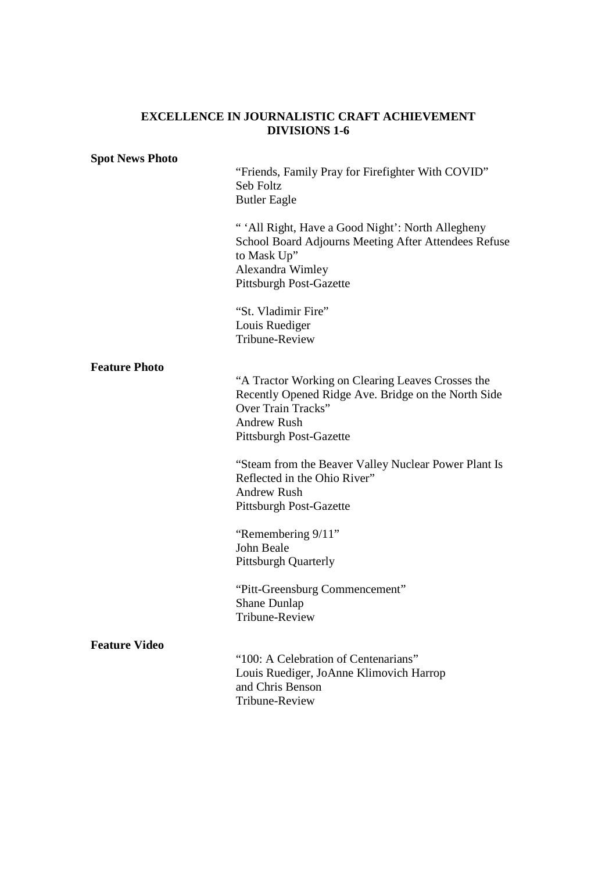#### **EXCELLENCE IN JOURNALISTIC CRAFT ACHIEVEMENT DIVISIONS 1-6**

#### **Spot News Photo**

 "Friends, Family Pray for Firefighter With COVID" Seb Foltz Butler Eagle

" 'All Right, Have a Good Night': North Allegheny School Board Adjourns Meeting After Attendees Refuse to Mask Up" Alexandra Wimley Pittsburgh Post-Gazette

 "St. Vladimir Fire" Louis Ruediger Tribune-Review

#### **Feature Photo**

"A Tractor Working on Clearing Leaves Crosses the Recently Opened Ridge Ave. Bridge on the North Side Over Train Tracks" Andrew Rush Pittsburgh Post-Gazette

"Steam from the Beaver Valley Nuclear Power Plant Is Reflected in the Ohio River" Andrew Rush Pittsburgh Post-Gazette

 "Remembering 9/11" John Beale Pittsburgh Quarterly

 "Pitt-Greensburg Commencement" Shane Dunlap Tribune-Review

#### **Feature Video**

 "100: A Celebration of Centenarians" Louis Ruediger, JoAnne Klimovich Harrop and Chris Benson Tribune-Review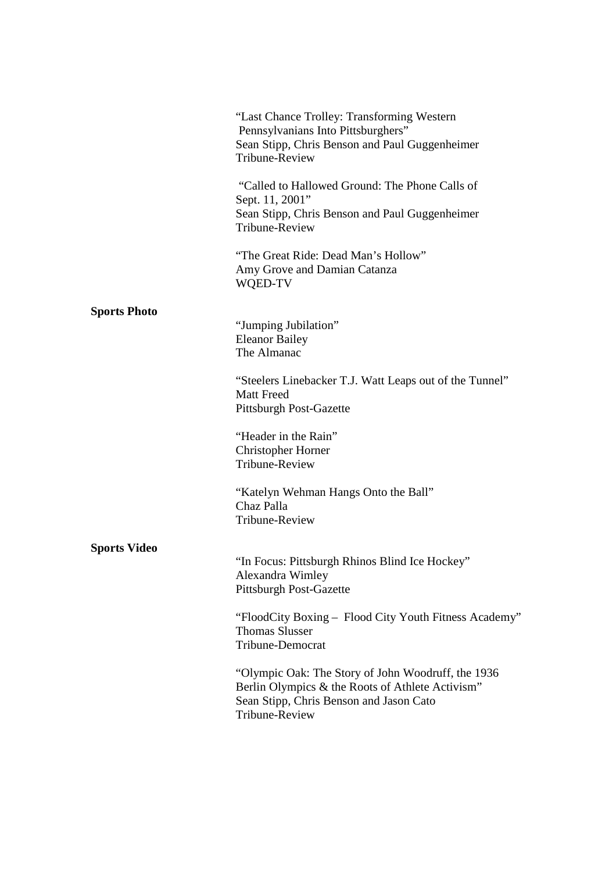|                     | "Last Chance Trolley: Transforming Western<br>Pennsylvanians Into Pittsburghers"<br>Sean Stipp, Chris Benson and Paul Guggenheimer<br>Tribune-Review                |
|---------------------|---------------------------------------------------------------------------------------------------------------------------------------------------------------------|
|                     | "Called to Hallowed Ground: The Phone Calls of<br>Sept. 11, 2001"<br>Sean Stipp, Chris Benson and Paul Guggenheimer<br>Tribune-Review                               |
|                     | "The Great Ride: Dead Man's Hollow"<br>Amy Grove and Damian Catanza<br>WQED-TV                                                                                      |
| <b>Sports Photo</b> | "Jumping Jubilation"<br><b>Eleanor Bailey</b><br>The Almanac                                                                                                        |
|                     | "Steelers Linebacker T.J. Watt Leaps out of the Tunnel"<br><b>Matt Freed</b><br><b>Pittsburgh Post-Gazette</b>                                                      |
|                     | "Header in the Rain"<br><b>Christopher Horner</b><br><b>Tribune-Review</b>                                                                                          |
|                     | "Katelyn Wehman Hangs Onto the Ball"<br>Chaz Palla<br>Tribune-Review                                                                                                |
| <b>Sports Video</b> | "In Focus: Pittsburgh Rhinos Blind Ice Hockey"<br>Alexandra Wimley<br><b>Pittsburgh Post-Gazette</b>                                                                |
|                     | "FloodCity Boxing – Flood City Youth Fitness Academy"<br><b>Thomas Slusser</b><br><b>Tribune-Democrat</b>                                                           |
|                     | "Olympic Oak: The Story of John Woodruff, the 1936<br>Berlin Olympics & the Roots of Athlete Activism"<br>Sean Stipp, Chris Benson and Jason Cato<br>Tribune-Review |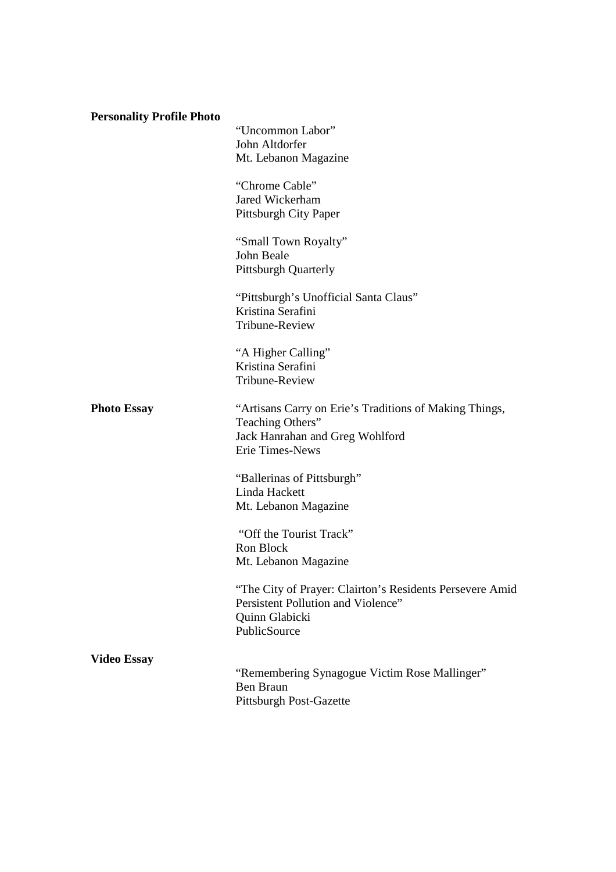| <b>Personality Profile Photo</b> |                                                                                                                                  |
|----------------------------------|----------------------------------------------------------------------------------------------------------------------------------|
|                                  | "Uncommon Labor"<br>John Altdorfer<br>Mt. Lebanon Magazine                                                                       |
|                                  | "Chrome Cable"<br>Jared Wickerham<br>Pittsburgh City Paper                                                                       |
|                                  | "Small Town Royalty"<br>John Beale<br><b>Pittsburgh Quarterly</b>                                                                |
|                                  | "Pittsburgh's Unofficial Santa Claus"<br>Kristina Serafini<br>Tribune-Review                                                     |
|                                  | "A Higher Calling"<br>Kristina Serafini<br>Tribune-Review                                                                        |
| <b>Photo Essay</b>               | "Artisans Carry on Erie's Traditions of Making Things,<br>Teaching Others"<br>Jack Hanrahan and Greg Wohlford<br>Erie Times-News |
|                                  | "Ballerinas of Pittsburgh"<br>Linda Hackett<br>Mt. Lebanon Magazine                                                              |
|                                  | "Off the Tourist Track"<br>Ron Block<br>Mt. Lebanon Magazine                                                                     |
|                                  | "The City of Prayer: Clairton's Residents Persevere Amid<br>Persistent Pollution and Violence"<br>Quinn Glabicki<br>PublicSource |
| <b>Video Essay</b>               | "Remembering Synagogue Victim Rose Mallinger"<br><b>Ben Braun</b><br><b>Pittsburgh Post-Gazette</b>                              |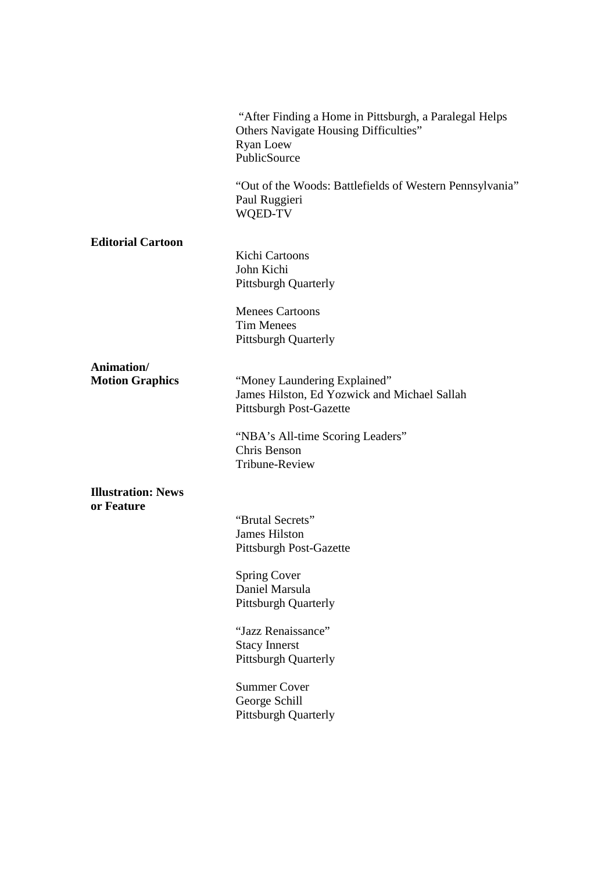"After Finding a Home in Pittsburgh, a Paralegal Helps Others Navigate Housing Difficulties" Ryan Loew **PublicSource** 

"Out of the Woods: Battlefields of Western Pennsylvania" Paul Ruggieri WQED-TV

#### **Editorial Cartoon**

 Kichi Cartoons John Kichi Pittsburgh Quarterly

 Menees Cartoons Tim Menees Pittsburgh Quarterly

**Animation/** 

**Motion Graphics** "Money Laundering Explained" James Hilston, Ed Yozwick and Michael Sallah Pittsburgh Post-Gazette

> "NBA's All-time Scoring Leaders" Chris Benson Tribune-Review

#### **Illustration: News or Feature**

"Brutal Secrets" James Hilston Pittsburgh Post-Gazette

 Spring Cover Daniel Marsula Pittsburgh Quarterly

"Jazz Renaissance" Stacy Innerst Pittsburgh Quarterly

 Summer Cover George Schill Pittsburgh Quarterly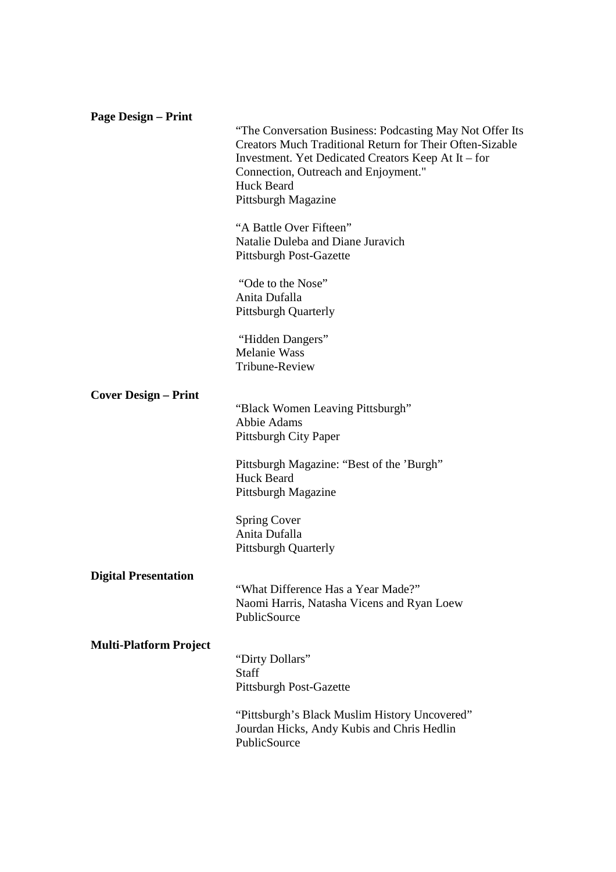| <b>Page Design – Print</b>    |                                                                                                                                                                                                                                                                        |
|-------------------------------|------------------------------------------------------------------------------------------------------------------------------------------------------------------------------------------------------------------------------------------------------------------------|
|                               | "The Conversation Business: Podcasting May Not Offer Its<br><b>Creators Much Traditional Return for Their Often-Sizable</b><br>Investment. Yet Dedicated Creators Keep At It – for<br>Connection, Outreach and Enjoyment."<br><b>Huck Beard</b><br>Pittsburgh Magazine |
|                               |                                                                                                                                                                                                                                                                        |
|                               | "A Battle Over Fifteen"<br>Natalie Duleba and Diane Juravich<br><b>Pittsburgh Post-Gazette</b>                                                                                                                                                                         |
|                               | "Ode to the Nose"<br>Anita Dufalla<br><b>Pittsburgh Quarterly</b>                                                                                                                                                                                                      |
|                               | "Hidden Dangers"<br><b>Melanie Wass</b><br>Tribune-Review                                                                                                                                                                                                              |
| <b>Cover Design – Print</b>   |                                                                                                                                                                                                                                                                        |
|                               | "Black Women Leaving Pittsburgh"<br><b>Abbie Adams</b><br>Pittsburgh City Paper                                                                                                                                                                                        |
|                               | Pittsburgh Magazine: "Best of the 'Burgh"<br><b>Huck Beard</b><br>Pittsburgh Magazine                                                                                                                                                                                  |
|                               | <b>Spring Cover</b><br>Anita Dufalla<br><b>Pittsburgh Quarterly</b>                                                                                                                                                                                                    |
| <b>Digital Presentation</b>   | "What Difference Has a Year Made?"<br>Naomi Harris, Natasha Vicens and Ryan Loew<br>PublicSource                                                                                                                                                                       |
| <b>Multi-Platform Project</b> |                                                                                                                                                                                                                                                                        |
|                               | "Dirty Dollars"<br><b>Staff</b><br><b>Pittsburgh Post-Gazette</b>                                                                                                                                                                                                      |
|                               | "Pittsburgh's Black Muslim History Uncovered"<br>Jourdan Hicks, Andy Kubis and Chris Hedlin<br>PublicSource                                                                                                                                                            |
|                               |                                                                                                                                                                                                                                                                        |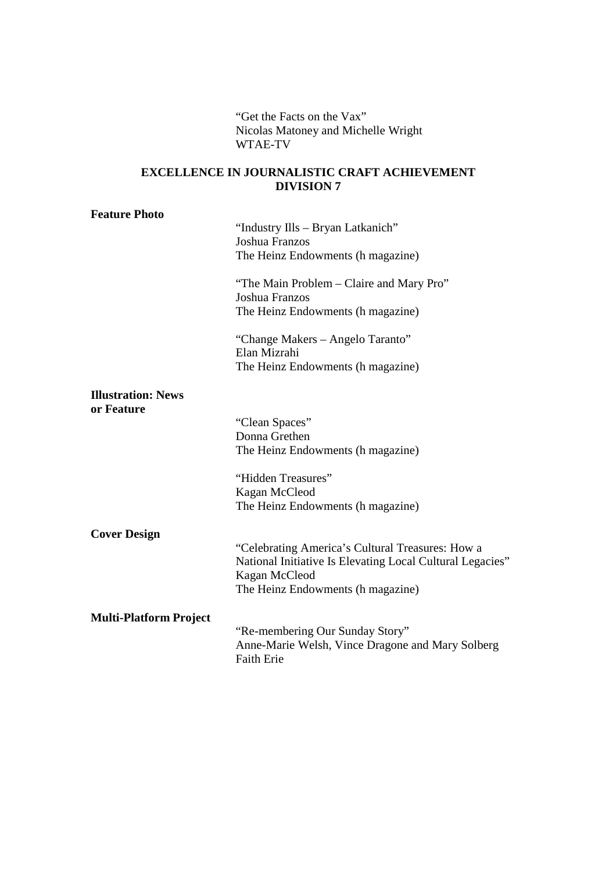"Get the Facts on the Vax" Nicolas Matoney and Michelle Wright WTAE-TV

# **EXCELLENCE IN JOURNALISTIC CRAFT ACHIEVEMENT DIVISION 7**

| <b>Feature Photo</b>                    | "Industry Ills – Bryan Latkanich"<br>Joshua Franzos<br>The Heinz Endowments (h magazine)<br>"The Main Problem – Claire and Mary Pro"                                |
|-----------------------------------------|---------------------------------------------------------------------------------------------------------------------------------------------------------------------|
|                                         | Joshua Franzos<br>The Heinz Endowments (h magazine)                                                                                                                 |
|                                         | "Change Makers – Angelo Taranto"<br>Elan Mizrahi<br>The Heinz Endowments (h magazine)                                                                               |
| <b>Illustration: News</b><br>or Feature |                                                                                                                                                                     |
|                                         | "Clean Spaces"<br>Donna Grethen<br>The Heinz Endowments (h magazine)                                                                                                |
|                                         | "Hidden Treasures"<br>Kagan McCleod<br>The Heinz Endowments (h magazine)                                                                                            |
| <b>Cover Design</b>                     |                                                                                                                                                                     |
|                                         | "Celebrating America's Cultural Treasures: How a<br>National Initiative Is Elevating Local Cultural Legacies"<br>Kagan McCleod<br>The Heinz Endowments (h magazine) |
| <b>Multi-Platform Project</b>           | "Re-membering Our Sunday Story"<br>Anne-Marie Welsh, Vince Dragone and Mary Solberg<br><b>Faith Erie</b>                                                            |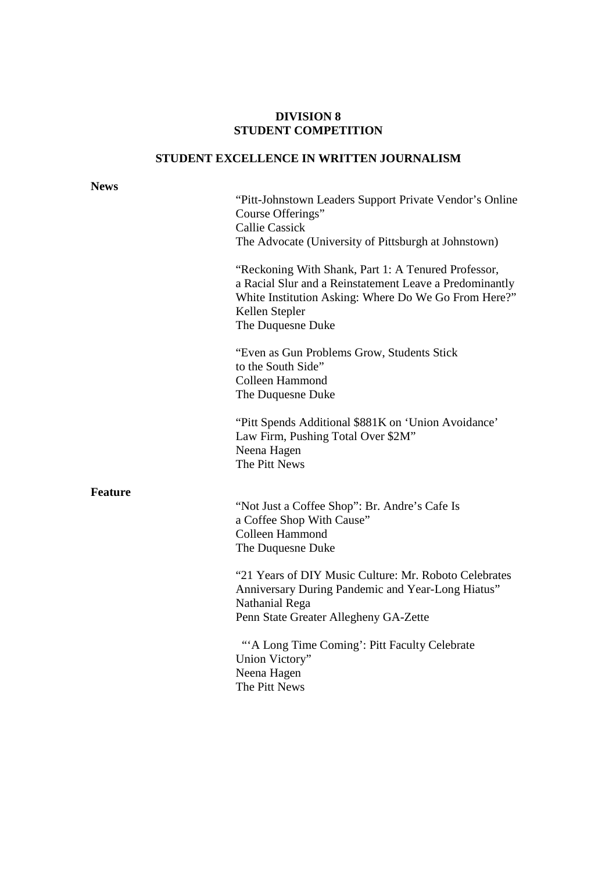#### **DIVISION 8 STUDENT COMPETITION**

# **STUDENT EXCELLENCE IN WRITTEN JOURNALISM**

#### **News**

"Pitt-Johnstown Leaders Support Private Vendor's Online Course Offerings" Callie Cassick The Advocate (University of Pittsburgh at Johnstown)

"Reckoning With Shank, Part 1: A Tenured Professor, a Racial Slur and a Reinstatement Leave a Predominantly White Institution Asking: Where Do We Go From Here?" Kellen Stepler The Duquesne Duke

"Even as Gun Problems Grow, Students Stick to the South Side" Colleen Hammond The Duquesne Duke

 "Pitt Spends Additional \$881K on 'Union Avoidance' Law Firm, Pushing Total Over \$2M" Neena Hagen The Pitt News

#### **Feature**

"Not Just a Coffee Shop": Br. Andre's Cafe Is a Coffee Shop With Cause" Colleen Hammond The Duquesne Duke

"21 Years of DIY Music Culture: Mr. Roboto Celebrates Anniversary During Pandemic and Year-Long Hiatus" Nathanial Rega Penn State Greater Allegheny GA-Zette

 "'A Long Time Coming': Pitt Faculty Celebrate Union Victory" Neena Hagen The Pitt News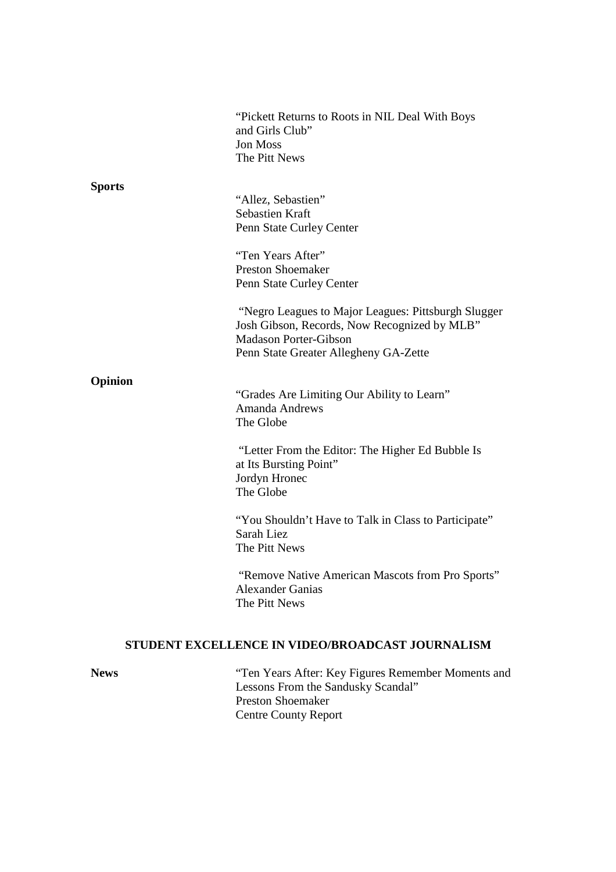|                                                  | "Pickett Returns to Roots in NIL Deal With Boys"<br>and Girls Club"<br><b>Jon Moss</b><br>The Pitt News                                                                      |
|--------------------------------------------------|------------------------------------------------------------------------------------------------------------------------------------------------------------------------------|
| <b>Sports</b>                                    | "Allez, Sebastien"<br><b>Sebastien Kraft</b><br>Penn State Curley Center<br>"Ten Years After"                                                                                |
|                                                  | <b>Preston Shoemaker</b><br>Penn State Curley Center                                                                                                                         |
|                                                  | "Negro Leagues to Major Leagues: Pittsburgh Slugger<br>Josh Gibson, Records, Now Recognized by MLB"<br><b>Madason Porter-Gibson</b><br>Penn State Greater Allegheny GA-Zette |
| Opinion                                          | "Grades Are Limiting Our Ability to Learn"<br><b>Amanda Andrews</b><br>The Globe                                                                                             |
|                                                  | "Letter From the Editor: The Higher Ed Bubble Is<br>at Its Bursting Point"<br>Jordyn Hronec<br>The Globe                                                                     |
|                                                  | "You Shouldn't Have to Talk in Class to Participate"<br>Sarah Liez<br>The Pitt News                                                                                          |
|                                                  | "Remove Native American Mascots from Pro Sports"<br><b>Alexander Ganias</b><br>The Pitt News                                                                                 |
| STUDENT EXCELLENCE IN VIDEO/BROADCAST JOURNALISM |                                                                                                                                                                              |
| <b>News</b>                                      | "Ten Years After: Key Figures Remember Moments and                                                                                                                           |

**News** "Ten Years After: Key Figures Remember Moments and Lessons From the Sandusky Scandal" Preston Shoemaker Centre County Report